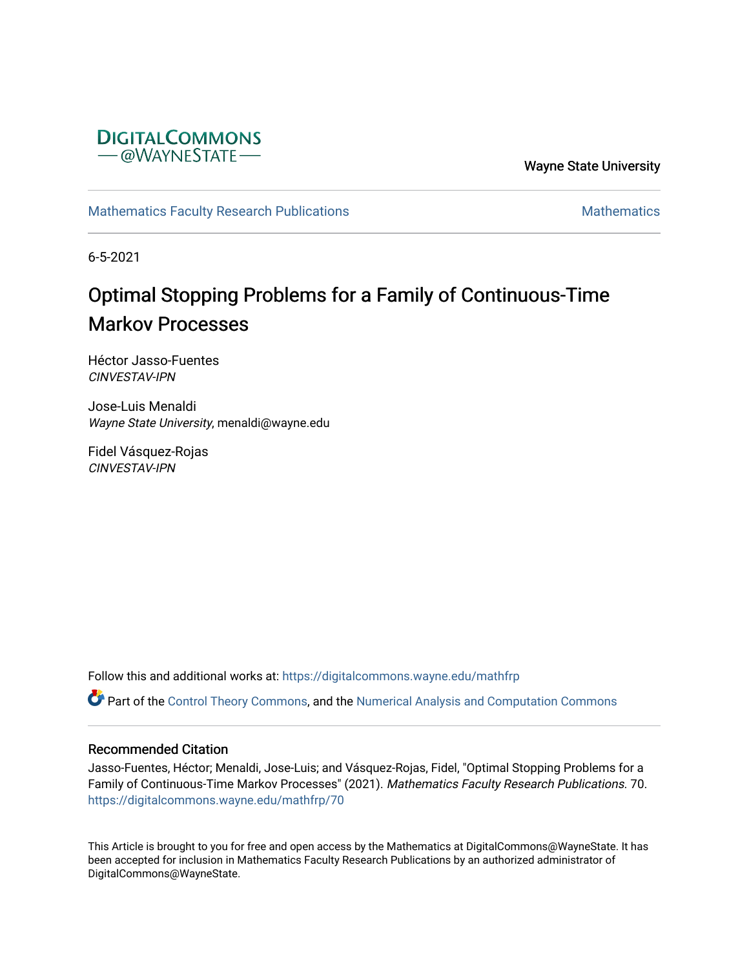

Wayne State University

[Mathematics Faculty Research Publications](https://digitalcommons.wayne.edu/mathfrp) **Mathematics** Mathematics

6-5-2021

# Optimal Stopping Problems for a Family of Continuous-Time Markov Processes

Héctor Jasso-Fuentes CINVESTAV-IPN

Jose-Luis Menaldi Wayne State University, menaldi@wayne.edu

Fidel Vásquez-Rojas CINVESTAV-IPN

Follow this and additional works at: [https://digitalcommons.wayne.edu/mathfrp](https://digitalcommons.wayne.edu/mathfrp?utm_source=digitalcommons.wayne.edu%2Fmathfrp%2F70&utm_medium=PDF&utm_campaign=PDFCoverPages) 

Part of the [Control Theory Commons](http://network.bepress.com/hgg/discipline/116?utm_source=digitalcommons.wayne.edu%2Fmathfrp%2F70&utm_medium=PDF&utm_campaign=PDFCoverPages), and the [Numerical Analysis and Computation Commons](http://network.bepress.com/hgg/discipline/119?utm_source=digitalcommons.wayne.edu%2Fmathfrp%2F70&utm_medium=PDF&utm_campaign=PDFCoverPages) 

## Recommended Citation

Jasso-Fuentes, Héctor; Menaldi, Jose-Luis; and Vásquez-Rojas, Fidel, "Optimal Stopping Problems for a Family of Continuous-Time Markov Processes" (2021). Mathematics Faculty Research Publications. 70. [https://digitalcommons.wayne.edu/mathfrp/70](https://digitalcommons.wayne.edu/mathfrp/70?utm_source=digitalcommons.wayne.edu%2Fmathfrp%2F70&utm_medium=PDF&utm_campaign=PDFCoverPages) 

This Article is brought to you for free and open access by the Mathematics at DigitalCommons@WayneState. It has been accepted for inclusion in Mathematics Faculty Research Publications by an authorized administrator of DigitalCommons@WayneState.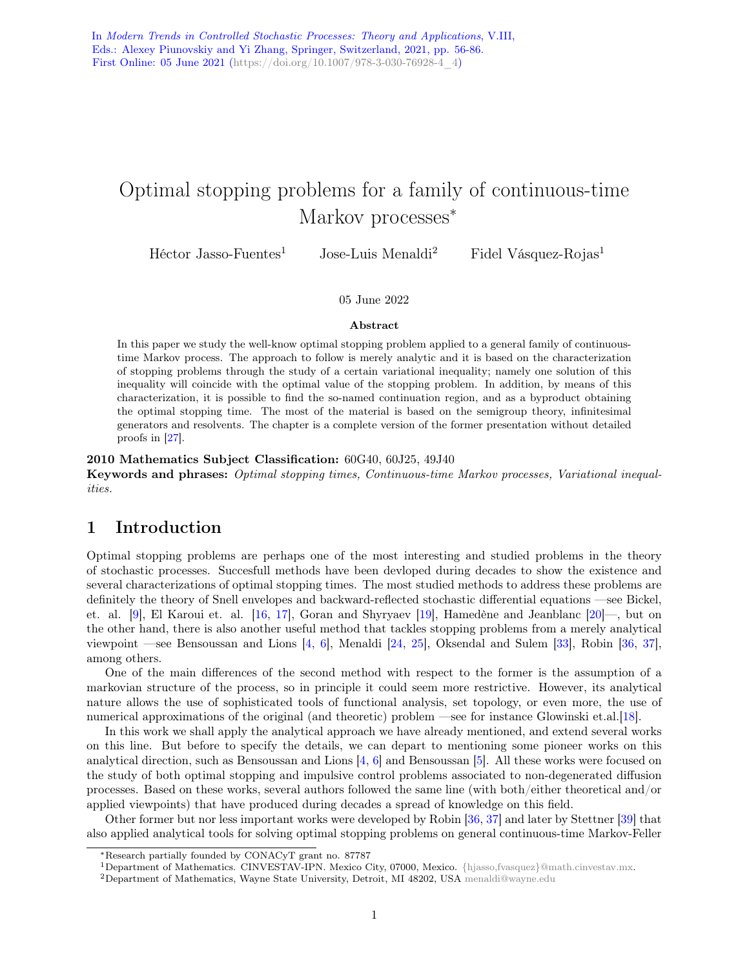## Optimal stopping problems for a family of continuous-time Markov processes<sup>\*</sup>

Héctor Jasso-Fuentes<sup>1</sup> Jose-Luis Menaldi<sup>2</sup> Fidel Vásquez-Rojas<sup>1</sup>

#### 05 June 2022

#### Abstract

In this paper we study the well-know optimal stopping problem applied to a general family of continuoustime Markov process. The approach to follow is merely analytic and it is based on the characterization of stopping problems through the study of a certain variational inequality; namely one solution of this inequality will coincide with the optimal value of the stopping problem. In addition, by means of this characterization, it is possible to find the so-named continuation region, and as a byproduct obtaining the optimal stopping time. The most of the material is based on the semigroup theory, infinitesimal generators and resolvents. The chapter is a complete version of the former presentation without detailed proofs in [\[27\]](#page-24-0).

#### 2010 Mathematics Subject Classification: 60G40, 60J25, 49J40

Keywords and phrases: Optimal stopping times, Continuous-time Markov processes, Variational inequalities.

## 1 Introduction

Optimal stopping problems are perhaps one of the most interesting and studied problems in the theory of stochastic processes. Succesfull methods have been devloped during decades to show the existence and several characterizations of optimal stopping times. The most studied methods to address these problems are definitely the theory of Snell envelopes and backward-reflected stochastic differential equations —see Bickel, et. al. [\[9\]](#page-23-0), El Karoui et. al. [\[16,](#page-24-1) [17\]](#page-24-2), Goran and Shyryaev [\[19\]](#page-24-3), Hamedène and Jeanblanc [\[20\]](#page-24-4)—, but on the other hand, there is also another useful method that tackles stopping problems from a merely analytical viewpoint —see Bensoussan and Lions [\[4,](#page-23-1) [6\]](#page-23-2), Menaldi [\[24,](#page-24-5) [25\]](#page-24-6), Oksendal and Sulem [\[33\]](#page-24-7), Robin [\[36,](#page-25-0) [37\]](#page-25-1), among others.

One of the main differences of the second method with respect to the former is the assumption of a markovian structure of the process, so in principle it could seem more restrictive. However, its analytical nature allows the use of sophisticated tools of functional analysis, set topology, or even more, the use of numerical approximations of the original (and theoretic) problem —see for instance Glowinski et.al.[\[18\]](#page-24-8).

In this work we shall apply the analytical approach we have already mentioned, and extend several works on this line. But before to specify the details, we can depart to mentioning some pioneer works on this analytical direction, such as Bensoussan and Lions [\[4,](#page-23-1) [6\]](#page-23-2) and Bensoussan [\[5\]](#page-23-3). All these works were focused on the study of both optimal stopping and impulsive control problems associated to non-degenerated diffusion processes. Based on these works, several authors followed the same line (with both/either theoretical and/or applied viewpoints) that have produced during decades a spread of knowledge on this field.

Other former but nor less important works were developed by Robin [\[36,](#page-25-0) [37\]](#page-25-1) and later by Stettner [\[39\]](#page-25-2) that also applied analytical tools for solving optimal stopping problems on general continuous-time Markov-Feller

<sup>∗</sup>Research partially founded by CONACyT grant no. 87787

<sup>1</sup>Department of Mathematics. CINVESTAV-IPN. Mexico City, 07000, Mexico. [{hjasso,fvasquez}@math.cinvestav.mx.](mailto:\{hjasso,fvasquez\}@math.cinvestav.mx)

<sup>2</sup>Department of Mathematics, Wayne State University, Detroit, MI 48202, USA [menaldi@wayne.edu](mailto:menaldi@wayne.edu)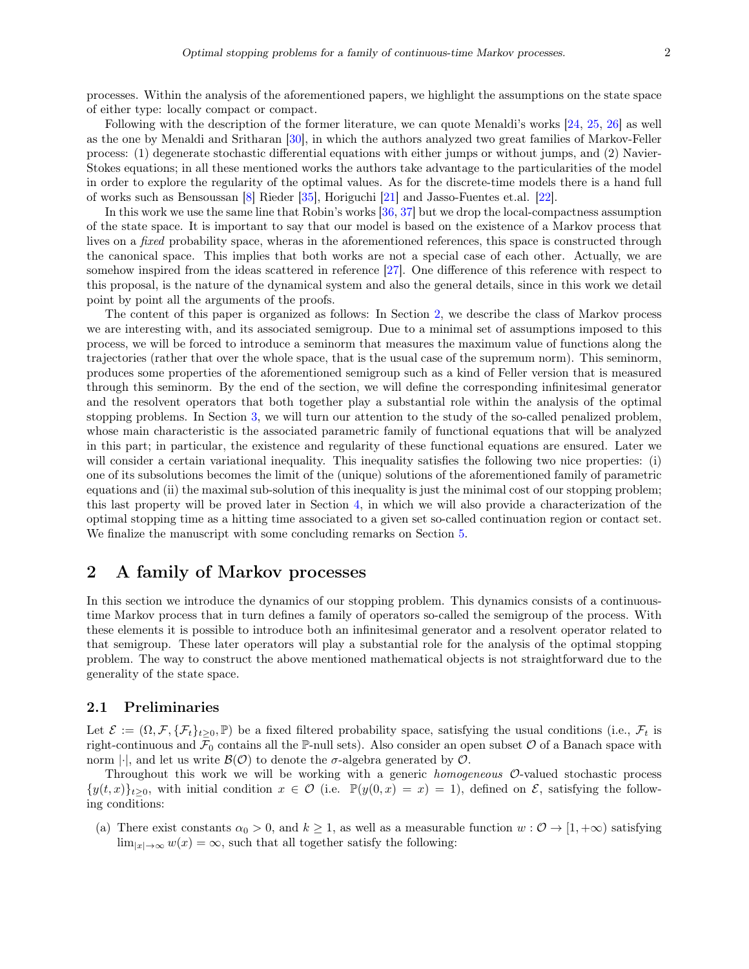processes. Within the analysis of the aforementioned papers, we highlight the assumptions on the state space of either type: locally compact or compact.

Following with the description of the former literature, we can quote Menaldi's works [\[24,](#page-24-5) [25,](#page-24-6) [26\]](#page-24-9) as well as the one by Menaldi and Sritharan [\[30\]](#page-24-10), in which the authors analyzed two great families of Markov-Feller process: (1) degenerate stochastic differential equations with either jumps or without jumps, and (2) Navier-Stokes equations; in all these mentioned works the authors take advantage to the particularities of the model in order to explore the regularity of the optimal values. As for the discrete-time models there is a hand full of works such as Bensoussan [\[8\]](#page-23-4) Rieder [\[35\]](#page-24-11), Horiguchi [\[21\]](#page-24-12) and Jasso-Fuentes et.al. [\[22\]](#page-24-13).

In this work we use the same line that Robin's works [\[36,](#page-25-0) [37\]](#page-25-1) but we drop the local-compactness assumption of the state space. It is important to say that our model is based on the existence of a Markov process that lives on a *fixed* probability space, wheras in the aforementioned references, this space is constructed through the canonical space. This implies that both works are not a special case of each other. Actually, we are somehow inspired from the ideas scattered in reference [\[27\]](#page-24-0). One difference of this reference with respect to this proposal, is the nature of the dynamical system and also the general details, since in this work we detail point by point all the arguments of the proofs.

The content of this paper is organized as follows: In Section [2,](#page-2-0) we describe the class of Markov process we are interesting with, and its associated semigroup. Due to a minimal set of assumptions imposed to this process, we will be forced to introduce a seminorm that measures the maximum value of functions along the trajectories (rather that over the whole space, that is the usual case of the supremum norm). This seminorm, produces some properties of the aforementioned semigroup such as a kind of Feller version that is measured through this seminorm. By the end of the section, we will define the corresponding infinitesimal generator and the resolvent operators that both together play a substantial role within the analysis of the optimal stopping problems. In Section [3,](#page-16-0) we will turn our attention to the study of the so-called penalized problem, whose main characteristic is the associated parametric family of functional equations that will be analyzed in this part; in particular, the existence and regularity of these functional equations are ensured. Later we will consider a certain variational inequality. This inequality satisfies the following two nice properties: (i) one of its subsolutions becomes the limit of the (unique) solutions of the aforementioned family of parametric equations and (ii) the maximal sub-solution of this inequality is just the minimal cost of our stopping problem; this last property will be proved later in Section [4,](#page-20-0) in which we will also provide a characterization of the optimal stopping time as a hitting time associated to a given set so-called continuation region or contact set. We finalize the manuscript with some concluding remarks on Section [5.](#page-23-5)

## <span id="page-2-0"></span>2 A family of Markov processes

In this section we introduce the dynamics of our stopping problem. This dynamics consists of a continuoustime Markov process that in turn defines a family of operators so-called the semigroup of the process. With these elements it is possible to introduce both an infinitesimal generator and a resolvent operator related to that semigroup. These later operators will play a substantial role for the analysis of the optimal stopping problem. The way to construct the above mentioned mathematical objects is not straightforward due to the generality of the state space.

#### 2.1 Preliminaries

Let  $\mathcal{E} := (\Omega, \mathcal{F}, \{\mathcal{F}_t\}_{t>0}, \mathbb{P})$  be a fixed filtered probability space, satisfying the usual conditions (i.e.,  $\mathcal{F}_t$  is right-continuous and  $\mathcal{F}_0$  contains all the P-null sets). Also consider an open subset O of a Banach space with norm  $|\cdot|$ , and let us write  $\mathcal{B}(\mathcal{O})$  to denote the  $\sigma$ -algebra generated by  $\mathcal{O}$ .

Throughout this work we will be working with a generic *homogeneous* O-valued stochastic process  $\{y(t, x)\}_{t>0}$ , with initial condition  $x \in \mathcal{O}$  (i.e.  $\mathbb{P}(y(0, x) = x) = 1$ ), defined on  $\mathcal{E}$ , satisfying the following conditions:

(a) There exist constants  $\alpha_0 > 0$ , and  $k \ge 1$ , as well as a measurable function  $w : \mathcal{O} \to [1, +\infty)$  satisfying  $\lim_{|x|\to\infty} w(x) = \infty$ , such that all together satisfy the following: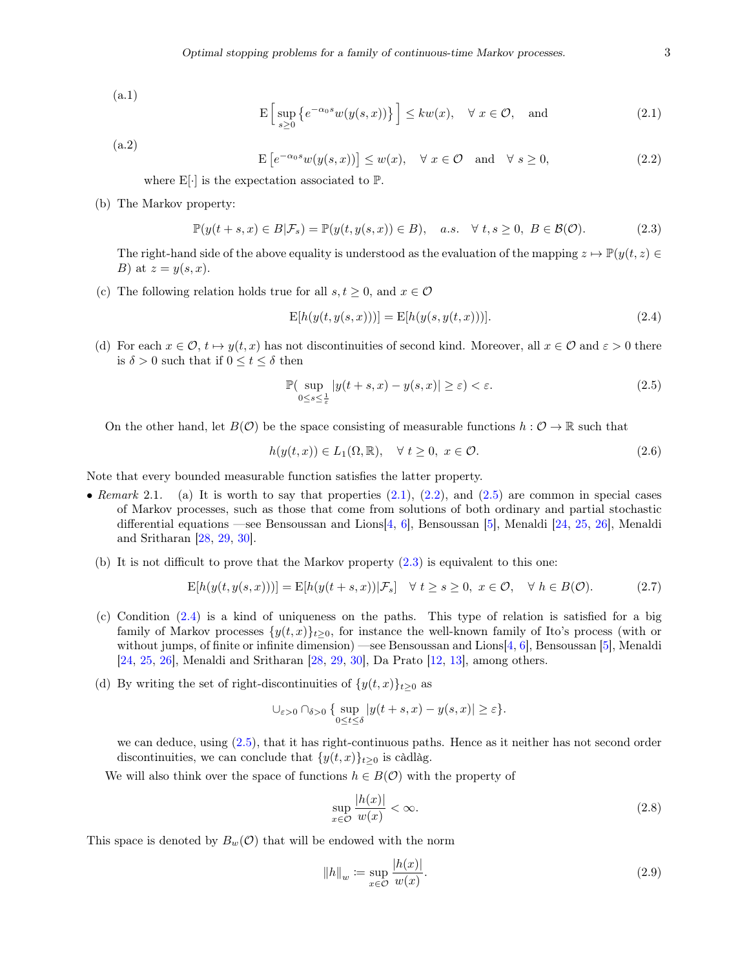(a.1)

<span id="page-3-0"></span>
$$
\mathcal{E}\left[\sup_{s\geq 0} \left\{e^{-\alpha_0 s} w(y(s,x))\right\}\right] \leq k w(x), \quad \forall \ x \in \mathcal{O}, \quad \text{and} \tag{2.1}
$$

(a.2)

<span id="page-3-1"></span> $\mathbb{E}\left[e^{-\alpha_0 s}w(y(s,x))\right] \leq w(x), \quad \forall \ x \in \mathcal{O} \quad \text{and} \quad \forall \ s \geq 0,$ (2.2)

where  $E[\cdot]$  is the expectation associated to  $\mathbb{P}$ .

(b) The Markov property:

<span id="page-3-3"></span>
$$
\mathbb{P}(y(t+s,x)\in B|\mathcal{F}_s) = \mathbb{P}(y(t,y(s,x))\in B), \quad a.s. \quad \forall \ t,s\geq 0, \ B\in \mathcal{B}(\mathcal{O}).\tag{2.3}
$$

The right-hand side of the above equality is understood as the evaluation of the mapping  $z \mapsto \mathbb{P}(y(t, z) \in$ B) at  $z = y(s, x)$ .

(c) The following relation holds true for all  $s, t \geq 0$ , and  $x \in \mathcal{O}$ 

<span id="page-3-4"></span>
$$
E[h(y(t, y(s, x)))] = E[h(y(s, y(t, x)))].
$$
\n(2.4)

(d) For each  $x \in \mathcal{O}, t \mapsto y(t, x)$  has not discontinuities of second kind. Moreover, all  $x \in \mathcal{O}$  and  $\varepsilon > 0$  there is  $\delta > 0$  such that if  $0 \le t \le \delta$  then

<span id="page-3-2"></span>
$$
\mathbb{P}(\sup_{0\le s\le \frac{1}{\varepsilon}}|y(t+s,x)-y(s,x)|\ge \varepsilon)<\varepsilon.
$$
\n(2.5)

On the other hand, let  $B(\mathcal{O})$  be the space consisting of measurable functions  $h : \mathcal{O} \to \mathbb{R}$  such that

<span id="page-3-6"></span>
$$
h(y(t,x)) \in L_1(\Omega, \mathbb{R}), \quad \forall \ t \ge 0, \ x \in \mathcal{O}.
$$
 (2.6)

Note that every bounded measurable function satisfies the latter property.

- Remark 2.1. (a) It is worth to say that properties  $(2.1)$ ,  $(2.2)$ , and  $(2.5)$  are common in special cases of Markov processes, such as those that come from solutions of both ordinary and partial stochastic differential equations —see Bensoussan and Lions[\[4,](#page-23-1) [6\]](#page-23-2), Bensoussan [\[5\]](#page-23-3), Menaldi [\[24,](#page-24-5) [25,](#page-24-6) [26\]](#page-24-9), Menaldi and Sritharan [\[28,](#page-24-14) [29,](#page-24-15) [30\]](#page-24-10).
	- (b) It is not difficult to prove that the Markov property [\(2.3\)](#page-3-3) is equivalent to this one:

$$
E[h(y(t, y(s, x)))] = E[h(y(t + s, x)) | \mathcal{F}_s] \quad \forall t \ge s \ge 0, \ x \in \mathcal{O}, \quad \forall h \in B(\mathcal{O}).
$$
 (2.7)

- (c) Condition [\(2.4\)](#page-3-4) is a kind of uniqueness on the paths. This type of relation is satisfied for a big family of Markov processes  $\{y(t, x)\}_{t>0}$ , for instance the well-known family of Ito's process (with or without jumps, of finite or infinite dimension) —see Bensoussan and Lions[\[4,](#page-23-1) [6\]](#page-23-2), Bensoussan [\[5\]](#page-23-3), Menaldi [\[24,](#page-24-5) [25,](#page-24-6) [26\]](#page-24-9), Menaldi and Sritharan [\[28,](#page-24-14) [29,](#page-24-15) [30\]](#page-24-10), Da Prato [\[12,](#page-23-6) [13\]](#page-23-7), among others.
- (d) By writing the set of right-discontinuities of  $\{y(t, x)\}_{t\geq 0}$  as

$$
\cup_{\varepsilon>0}\cap_{\delta>0}\big\{\sup_{0\leq t\leq\delta}|y(t+s,x)-y(s,x)|\geq\varepsilon\big\}.
$$

we can deduce, using [\(2.5\)](#page-3-2), that it has right-continuous paths. Hence as it neither has not second order discontinuities, we can conclude that  $\{y(t,x)\}_{t\geq 0}$  is càdlàg.

We will also think over the space of functions  $h \in B(\mathcal{O})$  with the property of

$$
\sup_{x \in \mathcal{O}} \frac{|h(x)|}{w(x)} < \infty. \tag{2.8}
$$

This space is denoted by  $B_w(\mathcal{O})$  that will be endowed with the norm

<span id="page-3-5"></span>
$$
||h||_w \coloneqq \sup_{x \in \mathcal{O}} \frac{|h(x)|}{w(x)}.\tag{2.9}
$$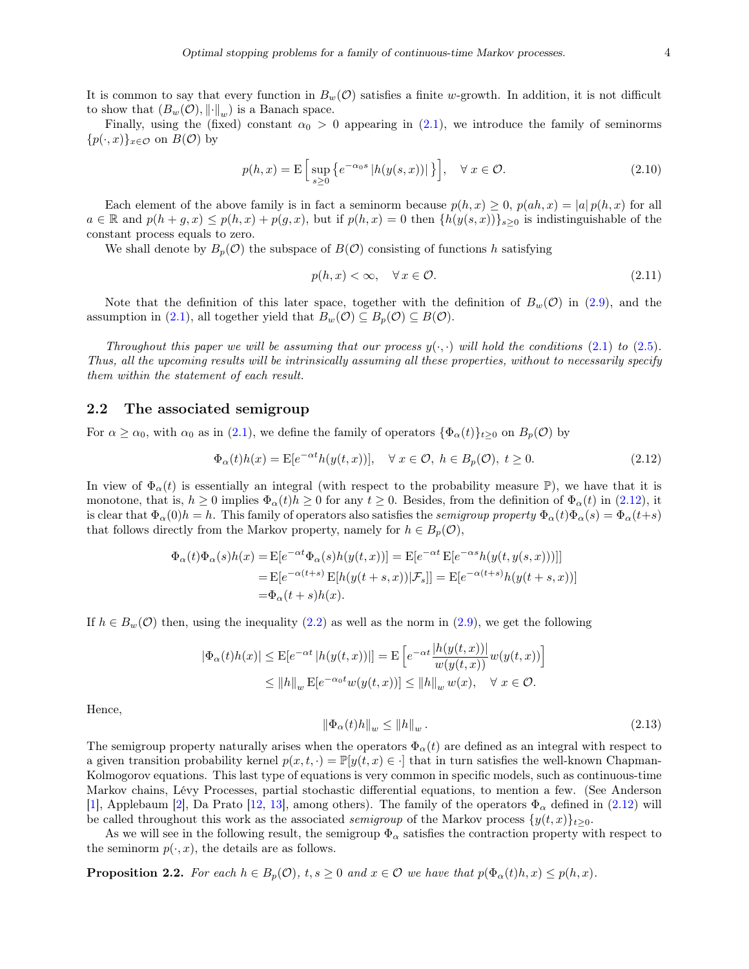It is common to say that every function in  $B_w(\mathcal{O})$  satisfies a finite w-growth. In addition, it is not difficult to show that  $(B_w(\mathcal{O}), \lVert \cdot \rVert_w)$  is a Banach space.

Finally, using the (fixed) constant  $\alpha_0 > 0$  appearing in [\(2.1\)](#page-3-0), we introduce the family of seminorms  $\{p(\cdot,x)\}_{x\in\mathcal{O}}$  on  $B(\mathcal{O})$  by

$$
p(h,x) = \mathcal{E}\left[\sup_{s\geq 0} \left\{ e^{-\alpha_0 s} \left| h(y(s,x)) \right| \right\} \right], \quad \forall x \in \mathcal{O}.\tag{2.10}
$$

Each element of the above family is in fact a seminorm because  $p(h, x) \geq 0$ ,  $p(ah, x) = |a| p(h, x)$  for all  $a \in \mathbb{R}$  and  $p(h+g,x) \leq p(h,x) + p(g,x)$ , but if  $p(h,x) = 0$  then  $\{h(y(s,x))\}_{s \geq 0}$  is indistinguishable of the constant process equals to zero.

We shall denote by  $B_p(\mathcal{O})$  the subspace of  $B(\mathcal{O})$  consisting of functions h satisfying

<span id="page-4-3"></span>
$$
p(h, x) < \infty, \quad \forall \, x \in \mathcal{O}.\tag{2.11}
$$

Note that the definition of this later space, together with the definition of  $B_w(\mathcal{O})$  in [\(2.9\)](#page-3-5), and the assumption in [\(2.1\)](#page-3-0), all together yield that  $B_w(\mathcal{O}) \subseteq B_p(\mathcal{O}) \subseteq B(\mathcal{O})$ .

Throughout this paper we will be assuming that our process  $y(\cdot, \cdot)$  will hold the conditions [\(2.1\)](#page-3-0) to [\(2.5\)](#page-3-2). Thus, all the upcoming results will be intrinsically assuming all these properties, without to necessarily specify them within the statement of each result.

#### 2.2 The associated semigroup

For  $\alpha \ge \alpha_0$ , with  $\alpha_0$  as in [\(2.1\)](#page-3-0), we define the family of operators  $\{\Phi_\alpha(t)\}_{t\ge 0}$  on  $B_p(\mathcal{O})$  by

<span id="page-4-0"></span>
$$
\Phi_{\alpha}(t)h(x) = \mathcal{E}[e^{-\alpha t}h(y(t,x))], \quad \forall x \in \mathcal{O}, \ h \in B_p(\mathcal{O}), \ t \ge 0. \tag{2.12}
$$

In view of  $\Phi_{\alpha}(t)$  is essentially an integral (with respect to the probability measure P), we have that it is monotone, that is,  $h \ge 0$  implies  $\Phi_{\alpha}(t)h \ge 0$  for any  $t \ge 0$ . Besides, from the definition of  $\Phi_{\alpha}(t)$  in [\(2.12\)](#page-4-0), it is clear that  $\Phi_\alpha(0)h = h$ . This family of operators also satisfies the semigroup property  $\Phi_\alpha(t)\Phi_\alpha(s) = \Phi_\alpha(t+s)$ that follows directly from the Markov property, namely for  $h \in B_p(\mathcal{O})$ ,

$$
\Phi_{\alpha}(t)\Phi_{\alpha}(s)h(x) = \mathbb{E}[e^{-\alpha t}\Phi_{\alpha}(s)h(y(t,x))] = \mathbb{E}[e^{-\alpha t}\mathbb{E}[e^{-\alpha s}h(y(t,y(s,x)))]]
$$
  
\n
$$
= \mathbb{E}[e^{-\alpha(t+s)}\mathbb{E}[h(y(t+s,x))|\mathcal{F}_s]] = \mathbb{E}[e^{-\alpha(t+s)}h(y(t+s,x))]
$$
  
\n
$$
= \Phi_{\alpha}(t+s)h(x).
$$

If  $h \in B_w(\mathcal{O})$  then, using the inequality [\(2.2\)](#page-3-1) as well as the norm in [\(2.9\)](#page-3-5), we get the following

$$
|\Phi_{\alpha}(t)h(x)| \le \mathbb{E}[e^{-\alpha t}|h(y(t,x))|] = \mathbb{E}\left[e^{-\alpha t}\frac{|h(y(t,x))|}{w(y(t,x))}w(y(t,x))\right]
$$
  

$$
\le ||h||_{w}\mathbb{E}[e^{-\alpha_0 t}w(y(t,x))] \le ||h||_{w}w(x), \quad \forall x \in \mathcal{O}.
$$

Hence,

<span id="page-4-1"></span>
$$
\left\|\Phi_{\alpha}(t)h\right\|_{w} \le \|h\|_{w}.
$$
\n(2.13)

The semigroup property naturally arises when the operators  $\Phi_{\alpha}(t)$  are defined as an integral with respect to a given transition probability kernel  $p(x, t, \cdot) = \mathbb{P}[y(t, x) \in \cdot]$  that in turn satisfies the well-known Chapman-Kolmogorov equations. This last type of equations is very common in specific models, such as continuous-time Markov chains, Lévy Processes, partial stochastic differential equations, to mention a few. (See Anderson [\[1\]](#page-23-8), Applebaum [\[2\]](#page-23-9), Da Prato [\[12,](#page-23-6) [13\]](#page-23-7), among others). The family of the operators  $\Phi_{\alpha}$  defined in [\(2.12\)](#page-4-0) will be called throughout this work as the associated *semigroup* of the Markov process  $\{y(t, x)\}_{t>0}$ .

As we will see in the following result, the semigroup  $\Phi_{\alpha}$  satisfies the contraction property with respect to the seminorm  $p(\cdot, x)$ , the details are as follows.

<span id="page-4-2"></span>**Proposition 2.2.** For each  $h \in B_p(\mathcal{O})$ ,  $t, s \geq 0$  and  $x \in \mathcal{O}$  we have that  $p(\Phi_\alpha(t)h, x) \leq p(h, x)$ .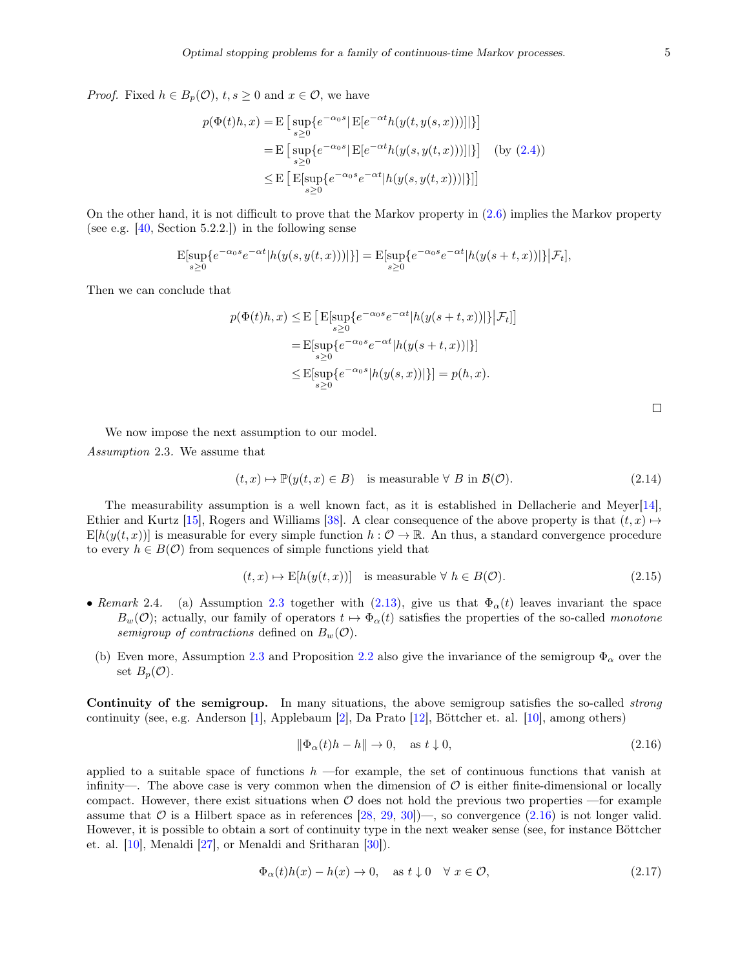*Proof.* Fixed  $h \in B_p(\mathcal{O}), t, s \geq 0$  and  $x \in \mathcal{O}$ , we have

$$
p(\Phi(t)h, x) = \mathbb{E}\left[\sup_{s\geq 0} \{e^{-\alpha_0 s} | \mathbb{E}[e^{-\alpha t}h(y(t, y(s, x)))]|\}\right]
$$
  
\n
$$
= \mathbb{E}\left[\sup_{s\geq 0} \{e^{-\alpha_0 s} | \mathbb{E}[e^{-\alpha t}h(y(s, y(t, x)))]|\}\right] \quad \text{(by (2.4))}
$$
  
\n
$$
\leq \mathbb{E}\left[\mathbb{E}[\sup_{s\geq 0} \{e^{-\alpha_0 s}e^{-\alpha t} | h(y(s, y(t, x)))|\}\]\right]
$$

On the other hand, it is not difficult to prove that the Markov property in [\(2.6\)](#page-3-6) implies the Markov property (see e.g.  $[40, Section 5.2.2.])$  $[40, Section 5.2.2.])$  in the following sense

$$
\mathbf{E}[\sup_{s\geq 0}\{e^{-\alpha_0 s}e^{-\alpha t}|h(y(s,y(t,x)))|\}] = \mathbf{E}[\sup_{s\geq 0}\{e^{-\alpha_0 s}e^{-\alpha t}|h(y(s+t,x))|\}\big|\mathcal{F}_t],
$$

Then we can conclude that

$$
p(\Phi(t)h, x) \leq \mathbb{E}\left[\mathbb{E}[\sup_{s\geq 0} \{e^{-\alpha_0 s}e^{-\alpha t}|h(y(s+t,x))|\}\big|\mathcal{F}_t]\right]
$$
  
= 
$$
\mathbb{E}[\sup_{s\geq 0} \{e^{-\alpha_0 s}e^{-\alpha t}|h(y(s+t,x))|\}\]
$$
  

$$
\leq \mathbb{E}[\sup_{s\geq 0} \{e^{-\alpha_0 s}|h(y(s,x))|\}\] = p(h,x).
$$

We now impose the next assumption to our model.

<span id="page-5-0"></span>Assumption 2.3. We assume that

$$
(t, x) \mapsto \mathbb{P}(y(t, x) \in B) \quad \text{is measurable } \forall \ B \text{ in } \mathcal{B}(\mathcal{O}). \tag{2.14}
$$

The measurability assumption is a well known fact, as it is established in Dellacherie and Meyer[\[14\]](#page-23-10), Ethier and Kurtz [\[15\]](#page-24-16), Rogers and Williams [\[38\]](#page-25-4). A clear consequence of the above property is that  $(t, x) \mapsto$  $E[h(y(t, x))]$  is measurable for every simple function  $h: \mathcal{O} \to \mathbb{R}$ . An thus, a standard convergence procedure to every  $h \in B(\mathcal{O})$  from sequences of simple functions yield that

$$
(t, x) \mapsto E[h(y(t, x))] \text{ is measurable } \forall h \in B(\mathcal{O}). \tag{2.15}
$$

- Remark 2.4. (a) Assumption [2.3](#page-5-0) together with [\(2.13\)](#page-4-1), give us that  $\Phi_{\alpha}(t)$  leaves invariant the space  $B_w(\mathcal{O})$ ; actually, our family of operators  $t \mapsto \Phi_\alpha(t)$  satisfies the properties of the so-called monotone semigroup of contractions defined on  $B_w(\mathcal{O})$ .
	- (b) Even more, Assumption [2.3](#page-5-0) and Proposition [2.2](#page-4-2) also give the invariance of the semigroup  $\Phi_{\alpha}$  over the set  $B_p(\mathcal{O})$ .

Continuity of the semigroup. In many situations, the above semigroup satisfies the so-called *strong* continuity (see, e.g. Anderson [\[1\]](#page-23-8), Applebaum [\[2\]](#page-23-9), Da Prato [\[12\]](#page-23-6), Böttcher et. al. [\[10\]](#page-23-11), among others)

<span id="page-5-1"></span>
$$
\|\Phi_{\alpha}(t)h - h\| \to 0, \quad \text{as } t \downarrow 0,
$$
\n(2.16)

applied to a suitable space of functions  $h$  —for example, the set of continuous functions that vanish at infinity—. The above case is very common when the dimension of  $\mathcal O$  is either finite-dimensional or locally compact. However, there exist situations when  $\mathcal O$  does not hold the previous two properties —for example assume that  $\mathcal O$  is a Hilbert space as in references [\[28,](#page-24-14) [29,](#page-24-15) [30\]](#page-24-10))—, so convergence [\(2.16\)](#page-5-1) is not longer valid. However, it is possible to obtain a sort of continuity type in the next weaker sense (see, for instance Böttcher et. al. [\[10\]](#page-23-11), Menaldi [\[27\]](#page-24-0), or Menaldi and Sritharan [\[30\]](#page-24-10)).

<span id="page-5-2"></span>
$$
\Phi_{\alpha}(t)h(x) - h(x) \to 0, \quad \text{as } t \downarrow 0 \quad \forall x \in \mathcal{O}, \tag{2.17}
$$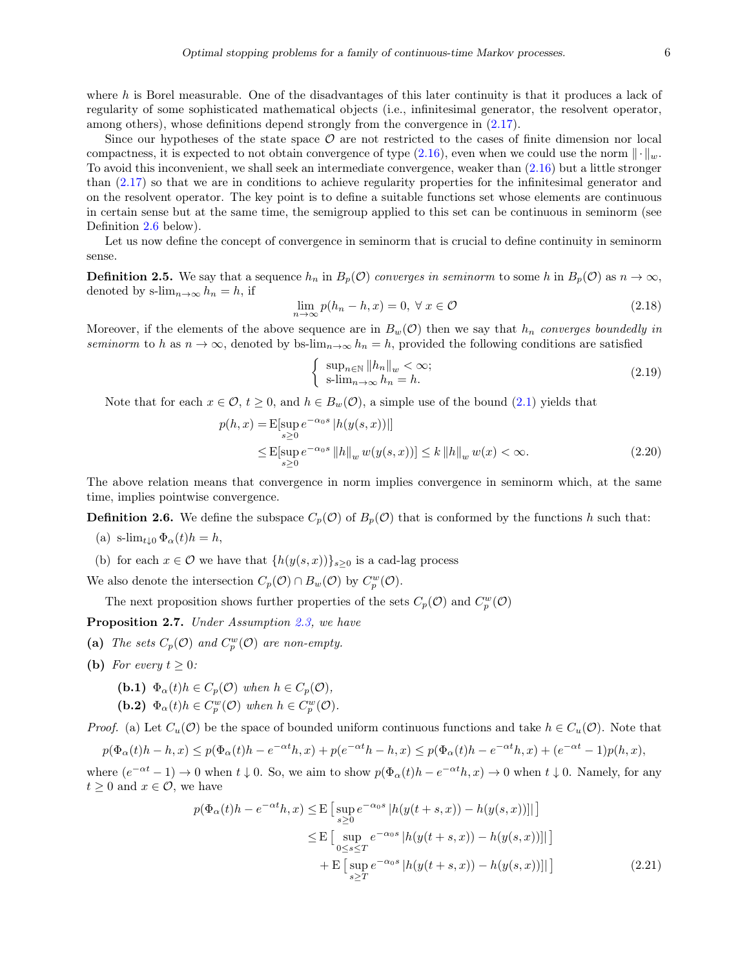where  $h$  is Borel measurable. One of the disadvantages of this later continuity is that it produces a lack of regularity of some sophisticated mathematical objects (i.e., infinitesimal generator, the resolvent operator, among others), whose definitions depend strongly from the convergence in [\(2.17\)](#page-5-2).

Since our hypotheses of the state space  $\mathcal O$  are not restricted to the cases of finite dimension nor local compactness, it is expected to not obtain convergence of type [\(2.16\)](#page-5-1), even when we could use the norm  $\|\cdot\|_w$ . To avoid this inconvenient, we shall seek an intermediate convergence, weaker than [\(2.16\)](#page-5-1) but a little stronger than [\(2.17\)](#page-5-2) so that we are in conditions to achieve regularity properties for the infinitesimal generator and on the resolvent operator. The key point is to define a suitable functions set whose elements are continuous in certain sense but at the same time, the semigroup applied to this set can be continuous in seminorm (see Definition [2.6](#page-6-0) below).

Let us now define the concept of convergence in seminorm that is crucial to define continuity in seminorm sense.

**Definition 2.5.** We say that a sequence  $h_n$  in  $B_p(\mathcal{O})$  converges in seminorm to some h in  $B_p(\mathcal{O})$  as  $n \to \infty$ , denoted by s-lim<sub>n→∞</sub>  $h_n = h$ , if

$$
\lim_{n \to \infty} p(h_n - h, x) = 0, \ \forall \ x \in \mathcal{O}
$$
\n(2.18)

Moreover, if the elements of the above sequence are in  $B_w(\mathcal{O})$  then we say that  $h_n$  converges boundedly in seminorm to h as  $n \to \infty$ , denoted by bs-lim<sub>n→∞</sub>  $h_n = h$ , provided the following conditions are satisfied

<span id="page-6-4"></span><span id="page-6-3"></span>
$$
\begin{cases} \sup_{n \in \mathbb{N}} \|h_n\|_w < \infty; \\ \text{s-lim}_{n \to \infty} h_n = h. \end{cases} \tag{2.19}
$$

Note that for each  $x \in \mathcal{O}$ ,  $t \geq 0$ , and  $h \in B_w(\mathcal{O})$ , a simple use of the bound [\(2.1\)](#page-3-0) yields that

$$
p(h, x) = \mathbb{E}[\sup_{s \ge 0} e^{-\alpha_0 s} |h(y(s, x))|]
$$
  
\n
$$
\le \mathbb{E}[\sup_{s \ge 0} e^{-\alpha_0 s} ||h||_w w(y(s, x))] \le k ||h||_w w(x) < \infty.
$$
 (2.20)

The above relation means that convergence in norm implies convergence in seminorm which, at the same time, implies pointwise convergence.

<span id="page-6-0"></span>**Definition 2.6.** We define the subspace  $C_p(\mathcal{O})$  of  $B_p(\mathcal{O})$  that is conformed by the functions h such that:

- (a) s-lim<sub>t</sub><sub>10</sub>  $\Phi_{\alpha}(t)h = h$ ,
- (b) for each  $x \in \mathcal{O}$  we have that  $\{h(y(s, x))\}_{s>0}$  is a cad-lag process

We also denote the intersection  $C_p(\mathcal{O}) \cap B_w(\mathcal{O})$  by  $C_p^w(\mathcal{O})$ .

The next proposition shows further properties of the sets  $C_p(\mathcal{O})$  and  $C_p^w(\mathcal{O})$ 

<span id="page-6-2"></span>Proposition 2.7. Under Assumption [2.3,](#page-5-0) we have

- (a) The sets  $C_p(\mathcal{O})$  and  $C_p^w(\mathcal{O})$  are non-empty.
- (b) For every  $t > 0$ :
	- (b.1)  $\Phi_{\alpha}(t)h \in C_p(\mathcal{O})$  when  $h \in C_p(\mathcal{O}),$
	- (b.2)  $\Phi_{\alpha}(t)h \in C_p^w(\mathcal{O})$  when  $h \in C_p^w(\mathcal{O})$ .

*Proof.* (a) Let  $C_u(\mathcal{O})$  be the space of bounded uniform continuous functions and take  $h \in C_u(\mathcal{O})$ . Note that p( $\theta$  +  $\theta$  +  $\theta$  +  $\theta$ )

$$
p(\Phi_{\alpha}(t)h - h, x) \le p(\Phi_{\alpha}(t)h - e^{-\alpha t}h, x) + p(e^{-\alpha t}h - h, x) \le p(\Phi_{\alpha}(t)h - e^{-\alpha t}h, x) + (e^{-\alpha t} - 1)p(h, x),
$$

where  $(e^{-\alpha t} - 1) \to 0$  when  $t \downarrow 0$ . So, we aim to show  $p(\Phi_{\alpha}(t)h - e^{-\alpha t}h, x) \to 0$  when  $t \downarrow 0$ . Namely, for any  $t \geq 0$  and  $x \in \mathcal{O}$ , we have

<span id="page-6-1"></span>
$$
p(\Phi_{\alpha}(t)h - e^{-\alpha t}h, x) \leq \mathbb{E}\left[\sup_{s\geq 0} e^{-\alpha_0 s} |h(y(t+s,x)) - h(y(s,x))||\right]
$$
  

$$
\leq \mathbb{E}\left[\sup_{0\leq s\leq T} e^{-\alpha_0 s} |h(y(t+s,x)) - h(y(s,x))||\right]
$$
  
+ 
$$
\mathbb{E}\left[\sup_{s\geq T} e^{-\alpha_0 s} |h(y(t+s,x)) - h(y(s,x))||\right]
$$
(2.21)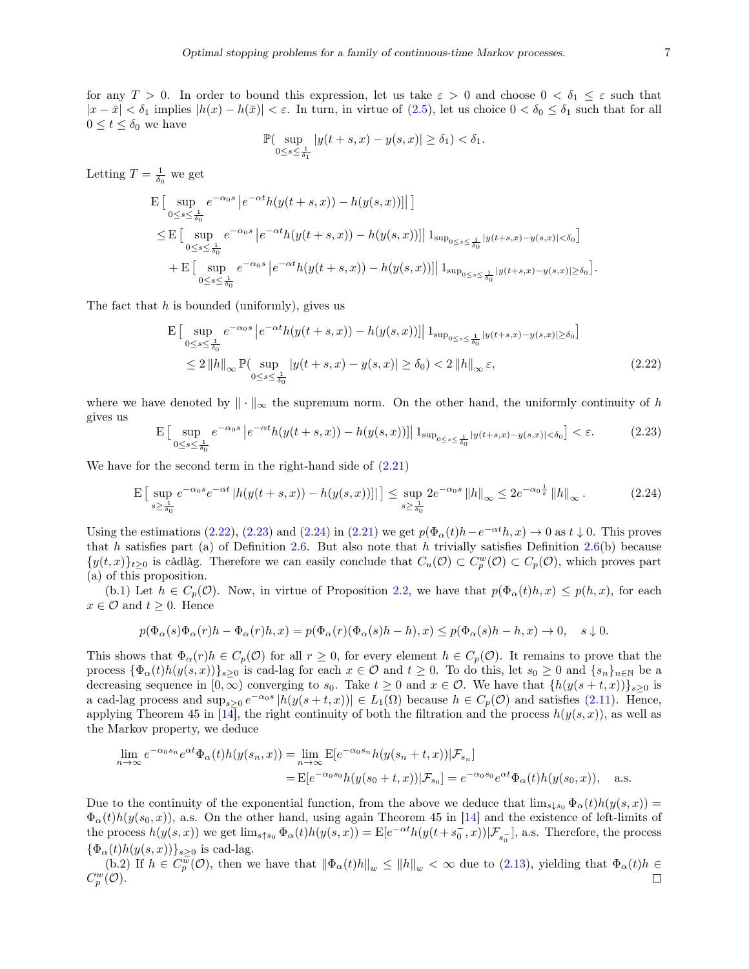for any  $T > 0$ . In order to bound this expression, let us take  $\varepsilon > 0$  and choose  $0 < \delta_1 \leq \varepsilon$  such that  $|x - \bar{x}| < \delta_1$  implies  $|h(x) - h(\bar{x})| < \varepsilon$ . In turn, in virtue of [\(2.5\)](#page-3-2), let us choice  $0 < \delta_0 \leq \delta_1$  such that for all  $0 \leq t \leq \delta_0$  we have

$$
\mathbb{P}(\sup_{0\leq s\leq \frac{1}{\delta_1}}|y(t+s,x)-y(s,x)|\geq \delta_1)<\delta_1.
$$

Letting  $T = \frac{1}{\delta_0}$  we get

$$
\begin{split} & \mathbf{E} \left[ \sup_{0 \leq s \leq \frac{1}{\delta_0}} e^{-\alpha_0 s} \left| e^{-\alpha t} h(y(t+s,x)) - h(y(s,x)) \right| \right] \right] \\ & \leq \mathbf{E} \left[ \sup_{0 \leq s \leq \frac{1}{\delta_0}} e^{-\alpha_0 s} \left| e^{-\alpha t} h(y(t+s,x)) - h(y(s,x)) \right| \left| 1_{\sup_{0 \leq s \leq \frac{1}{\delta_0}} |y(t+s,x) - y(s,x)| < \delta_0} \right| \\ & + \mathbf{E} \left[ \sup_{0 \leq s \leq \frac{1}{\delta_0}} e^{-\alpha_0 s} \left| e^{-\alpha t} h(y(t+s,x)) - h(y(s,x)) \right| \left| 1_{\sup_{0 \leq s \leq \frac{1}{\delta_0}} |y(t+s,x) - y(s,x)| \geq \delta_0} \right| \end{split}
$$

The fact that  $h$  is bounded (uniformly), gives us

$$
\mathbf{E} \left[ \sup_{0 \le s \le \frac{1}{\delta_0}} e^{-\alpha s s} \left| e^{-\alpha t} h(y(t+s, x)) - h(y(s, x)) \right| \right] \mathbf{1}_{\sup_{0 \le s \le \frac{1}{\delta_0}} |y(t+s, x) - y(s, x)| \ge \delta_0} \right]
$$
\n
$$
\le 2 \|h\|_{\infty} \mathbb{P}(\sup_{0 \le s \le \frac{1}{\delta_0}} |y(t+s, x) - y(s, x)| \ge \delta_0) < 2 \|h\|_{\infty} \varepsilon,\tag{2.22}
$$

where we have denoted by  $\|\cdot\|_{\infty}$  the supremum norm. On the other hand, the uniformly continuity of h gives us

<span id="page-7-1"></span>
$$
\mathcal{E}\left[\sup_{0\leq s\leq \frac{1}{\delta_0}} e^{-\alpha_0 s} \left| e^{-\alpha t} h(y(t+s,x)) - h(y(s,x)) \right| \, \mathbf{1}_{\sup_{0\leq s\leq \frac{1}{\delta_0}} |y(t+s,x) - y(s,x)| < \delta_0} \right] < \varepsilon. \tag{2.23}
$$

We have for the second term in the right-hand side of  $(2.21)$ 

<span id="page-7-2"></span>
$$
\mathcal{E}\left[\sup_{s\geq \frac{1}{\delta_0}} e^{-\alpha_0 s} e^{-\alpha t} |h(y(t+s,x)) - h(y(s,x))||\right] \leq \sup_{s\geq \frac{1}{\delta_0}} 2e^{-\alpha_0 s} \|h\|_{\infty} \leq 2e^{-\alpha_0 \frac{1}{\varepsilon}} \|h\|_{\infty}.
$$
 (2.24)

Using the estimations [\(2.22\)](#page-7-0), [\(2.23\)](#page-7-1) and [\(2.24\)](#page-7-2) in [\(2.21\)](#page-6-1) we get  $p(\Phi_\alpha(t)h-e^{-\alpha t}h, x) \to 0$  as  $t \downarrow 0$ . This proves that h satisfies part (a) of Definition [2.6.](#page-6-0) But also note that h trivially satisfies Definition [2.6\(](#page-6-0)b) because  $\{y(t,x)\}_{t\geq 0}$  is càdlàg. Therefore we can easily conclude that  $C_u(\mathcal{O}) \subset C_p^w(\mathcal{O}) \subset C_p(\mathcal{O})$ , which proves part (a) of this proposition.

(b.1) Let  $h \in C_p(\mathcal{O})$ . Now, in virtue of Proposition [2.2,](#page-4-2) we have that  $p(\Phi_\alpha(t)h, x) \leq p(h, x)$ , for each  $x \in \mathcal{O}$  and  $t \geq 0$ . Hence

$$
p(\Phi_{\alpha}(s)\Phi_{\alpha}(r)h - \Phi_{\alpha}(r)h, x) = p(\Phi_{\alpha}(r)(\Phi_{\alpha}(s)h - h), x) \leq p(\Phi_{\alpha}(s)h - h, x) \to 0, \quad s \downarrow 0.
$$

This shows that  $\Phi_{\alpha}(r)h \in C_p(\mathcal{O})$  for all  $r \geq 0$ , for every element  $h \in C_p(\mathcal{O})$ . It remains to prove that the process  ${\Phi_{\alpha}(t)h(y(s, x))}_{s\geq 0}$  is cad-lag for each  $x \in \mathcal{O}$  and  $t \geq 0$ . To do this, let  $s_0 \geq 0$  and  $\{s_n\}_{n\in\mathbb{N}}$  be a decreasing sequence in  $[0,\infty)$  converging to  $s_0$ . Take  $t \geq 0$  and  $x \in \mathcal{O}$ . We have that  $\{h(y(s+t,x))\}_{s\geq 0}$  is a cad-lag process and  $\sup_{s\geq 0} e^{-\alpha_0 s} |h(y(s+t,x))| \in L_1(\Omega)$  because  $h \in C_p(\mathcal{O})$  and satisfies [\(2.11\)](#page-4-3). Hence, applying Theorem 45 in [\[14\]](#page-23-10), the right continuity of both the filtration and the process  $h(y(s, x))$ , as well as the Markov property, we deduce

$$
\lim_{n \to \infty} e^{-\alpha_0 s_n} e^{\alpha t} \Phi_\alpha(t) h(y(s_n, x)) = \lim_{n \to \infty} \mathbb{E}[e^{-\alpha_0 s_n} h(y(s_n + t, x)) | \mathcal{F}_{s_n}]
$$
  
= 
$$
\mathbb{E}[e^{-\alpha_0 s_0} h(y(s_0 + t, x)) | \mathcal{F}_{s_0}] = e^{-\alpha_0 s_0} e^{\alpha t} \Phi_\alpha(t) h(y(s_0, x)), \text{ a.s.}
$$

Due to the continuity of the exponential function, from the above we deduce that  $\lim_{s\downarrow s_0} \Phi_\alpha(t)h(y(s, x)) =$  $\Phi_{\alpha}(t)h(y(s_0, x))$ , a.s. On the other hand, using again Theorem 45 in [\[14\]](#page-23-10) and the existence of left-limits of the process  $h(y(s, x))$  we get  $\lim_{s \uparrow s_0} \Phi_{\alpha}(t) h(y(s, x)) = \mathbb{E}[e^{-\alpha t} h(y(t+s_0^-, x)) | \mathcal{F}_{s_0}^{-}],$  a.s. Therefore, the process  $\{\Phi_{\alpha}(t)h(y(s, x))\}_{s\geq 0}$  is cad-lag.

(b.2) If  $h \in C_p^{\overline{w}}(\mathcal{O})$ , then we have that  $\|\Phi_\alpha(t)h\|_w \leq \|h\|_w < \infty$  due to  $(2.13)$ , yielding that  $\Phi_\alpha(t)h \in$  $C_p^w(\mathcal{O}).$  $\Box$ 

<span id="page-7-0"></span>.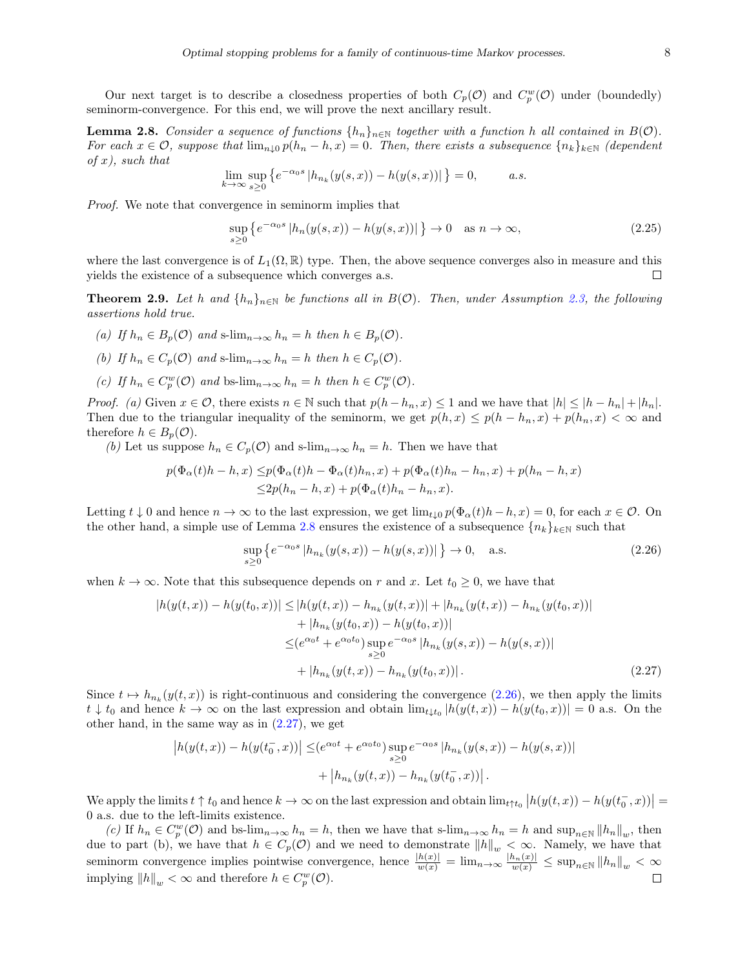Our next target is to describe a closedness properties of both  $C_p(\mathcal{O})$  and  $C_p^w(\mathcal{O})$  under (boundedly) seminorm-convergence. For this end, we will prove the next ancillary result.

<span id="page-8-0"></span>**Lemma 2.8.** Consider a sequence of functions  $\{h_n\}_{n\in\mathbb{N}}$  together with a function h all contained in  $B(\mathcal{O})$ . For each  $x \in \mathcal{O}$ , suppose that  $\lim_{n\downarrow 0} p(h_n - h, x) = 0$ . Then, there exists a subsequence  $\{n_k\}_{k\in\mathbb{N}}$  (dependent of  $x$ ), such that

$$
\lim_{k \to \infty} \sup_{s \ge 0} \left\{ e^{-\alpha_0 s} \left| h_{n_k}(y(s, x)) - h(y(s, x)) \right| \right\} = 0, \quad a.s.
$$

Proof. We note that convergence in seminorm implies that

$$
\sup_{s\geq 0} \left\{ e^{-\alpha_0 s} \left| h_n(y(s, x)) - h(y(s, x)) \right| \right\} \to 0 \quad \text{as } n \to \infty,
$$
\n(2.25)

where the last convergence is of  $L_1(\Omega,\mathbb{R})$  type. Then, the above sequence converges also in measure and this yields the existence of a subsequence which converges a.s. □

<span id="page-8-3"></span>**Theorem 2.9.** Let h and  $\{h_n\}_{n\in\mathbb{N}}$  be functions all in  $B(\mathcal{O})$ . Then, under Assumption [2.3,](#page-5-0) the following assertions hold true.

- (a) If  $h_n \in B_p(\mathcal{O})$  and s- $\lim_{n\to\infty} h_n = h$  then  $h \in B_p(\mathcal{O})$ .
- (b) If  $h_n \in C_n(\mathcal{O})$  and s- $\lim_{n \to \infty} h_n = h$  then  $h \in C_n(\mathcal{O})$ .
- (c) If  $h_n \in C_p^w(\mathcal{O})$  and bs- $\lim_{n\to\infty} h_n = h$  then  $h \in C_p^w(\mathcal{O})$ .

*Proof.* (a) Given  $x \in \mathcal{O}$ , there exists  $n \in \mathbb{N}$  such that  $p(h-h_n, x) \leq 1$  and we have that  $|h| \leq |h-h_n| + |h_n|$ . Then due to the triangular inequality of the seminorm, we get  $p(h, x) \leq p(h - h_n, x) + p(h_n, x) < \infty$  and therefore  $h \in B_n(\mathcal{O})$ .

(b) Let us suppose  $h_n \in C_p(\mathcal{O})$  and s-lim<sub>n→∞</sub>  $h_n = h$ . Then we have that

$$
p(\Phi_{\alpha}(t)h - h, x) \leq p(\Phi_{\alpha}(t)h - \Phi_{\alpha}(t)h_n, x) + p(\Phi_{\alpha}(t)h_n - h_n, x) + p(h_n - h, x)
$$
  

$$
\leq 2p(h_n - h, x) + p(\Phi_{\alpha}(t)h_n - h_n, x).
$$

Letting  $t \downarrow 0$  and hence  $n \to \infty$  to the last expression, we get  $\lim_{t \downarrow 0} p(\Phi_\alpha(t)h - h, x) = 0$ , for each  $x \in \mathcal{O}$ . On the other hand, a simple use of Lemma [2.8](#page-8-0) ensures the existence of a subsequence  ${n_k}_{k\in\mathbb{N}}$  such that

<span id="page-8-2"></span><span id="page-8-1"></span>
$$
\sup_{s\geq 0} \left\{ e^{-\alpha_0 s} \left| h_{n_k}(y(s, x)) - h(y(s, x)) \right| \right\} \to 0, \quad \text{a.s.} \tag{2.26}
$$

when  $k \to \infty$ . Note that this subsequence depends on r and x. Let  $t_0 \geq 0$ , we have that

$$
|h(y(t,x)) - h(y(t_0,x))| \le |h(y(t,x)) - h_{n_k}(y(t,x))| + |h_{n_k}(y(t,x)) - h_{n_k}(y(t_0,x))|
$$
  
+ 
$$
|h_{n_k}(y(t_0,x)) - h(y(t_0,x))|
$$
  

$$
\le (e^{\alpha_0 t} + e^{\alpha_0 t_0}) \sup_{s \ge 0} e^{-\alpha_0 s} |h_{n_k}(y(s,x)) - h(y(s,x))|
$$
  
+ 
$$
|h_{n_k}(y(t,x)) - h_{n_k}(y(t_0,x))|.
$$
 (2.27)

Since  $t \mapsto h_{n_k}(y(t, x))$  is right-continuous and considering the convergence [\(2.26\)](#page-8-1), we then apply the limits  $t \downarrow t_0$  and hence  $k \to \infty$  on the last expression and obtain  $\lim_{t \downarrow t_0} |h(y(t, x)) - h(y(t_0, x))| = 0$  a.s. On the other hand, in the same way as in  $(2.27)$ , we get

$$
|h(y(t,x)) - h(y(t_0^-,x))| \leq (e^{\alpha_0 t} + e^{\alpha_0 t_0}) \sup_{s \geq 0} e^{-\alpha_0 s} |h_{n_k}(y(s,x)) - h(y(s,x))|
$$
  
+ 
$$
|h_{n_k}(y(t,x)) - h_{n_k}(y(t_0^-,x))|.
$$

We apply the limits  $t \uparrow t_0$  and hence  $k \to \infty$  on the last expression and obtain  $\lim_{t \uparrow t_0} |h(y(t,x)) - h(y(t_0^-,x))|$ 0 a.s. due to the left-limits existence.

(c) If  $h_n \in C_p^w(\mathcal{O})$  and bs- $\lim_{n\to\infty} h_n = h$ , then we have that s- $\lim_{n\to\infty} h_n = h$  and  $\sup_{n\in\mathbb{N}} ||h_n||_w$ , then due to part (b), we have that  $h \in C_p(\mathcal{O})$  and we need to demonstrate  $||h||_w < \infty$ . Namely, we have that seminorm convergence implies pointwise convergence, hence  $\frac{|h(x)|}{w(x)} = \lim_{n \to \infty} \frac{|h_n(x)|}{w(x)} \leq \sup_{n \in \mathbb{N}} ||h_n||_w < \infty$ implying  $||h||_w < \infty$  and therefore  $h \in C_p^w(\mathcal{O})$ .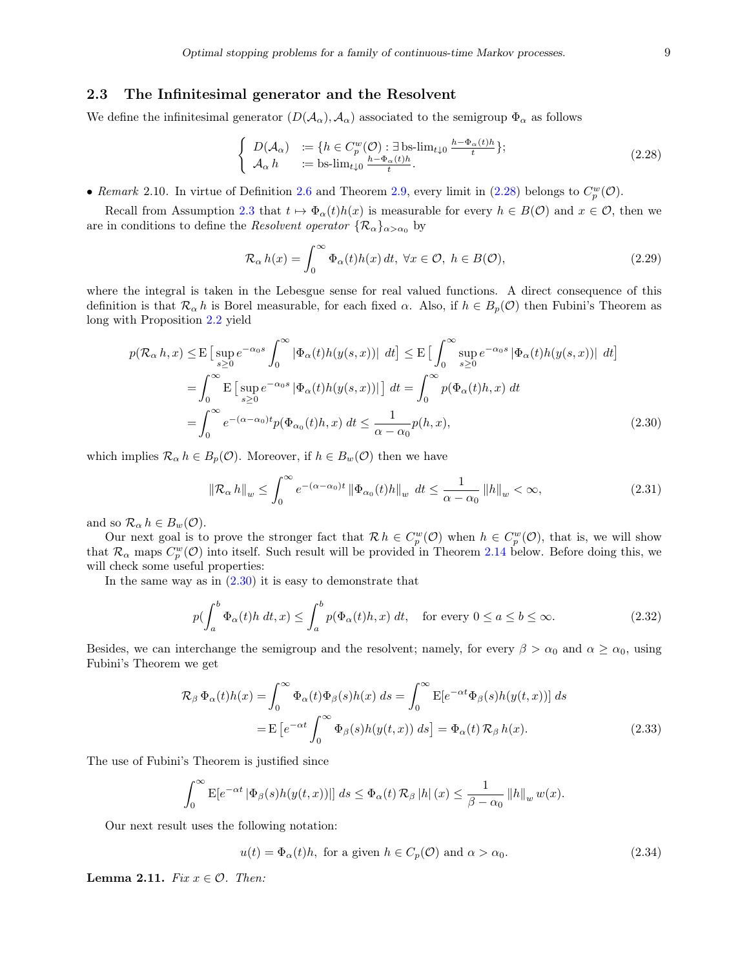#### 2.3 The Infinitesimal generator and the Resolvent

We define the infinitesimal generator  $(D(\mathcal{A}_{\alpha}), \mathcal{A}_{\alpha})$  associated to the semigroup  $\Phi_{\alpha}$  as follows

<span id="page-9-0"></span>
$$
\begin{cases}\nD(\mathcal{A}_{\alpha}) := \{h \in C_p^w(\mathcal{O}) : \exists \text{ bs-lim}_{t \downarrow 0} \frac{h - \Phi_{\alpha}(t)h}{t}\}; \\
\mathcal{A}_{\alpha} h := \text{bs-lim}_{t \downarrow 0} \frac{h - \Phi_{\alpha}(t)h}{t}.\n\end{cases} (2.28)
$$

• Remark 2.10. In virtue of Definition [2.6](#page-6-0) and Theorem [2.9,](#page-8-3) every limit in [\(2.28\)](#page-9-0) belongs to  $C_p^w(\mathcal{O})$ .

Recall from Assumption [2.3](#page-5-0) that  $t \mapsto \Phi_{\alpha}(t)h(x)$  is measurable for every  $h \in B(\mathcal{O})$  and  $x \in \mathcal{O}$ , then we are in conditions to define the *Resolvent operator*  $\{\mathcal{R}_{\alpha}\}_{{\alpha} > {\alpha}_0}$  by

<span id="page-9-1"></span>
$$
\mathcal{R}_{\alpha} h(x) = \int_0^{\infty} \Phi_{\alpha}(t) h(x) dt, \ \forall x \in \mathcal{O}, \ h \in B(\mathcal{O}), \tag{2.29}
$$

where the integral is taken in the Lebesgue sense for real valued functions. A direct consequence of this definition is that  $\mathcal{R}_{\alpha} h$  is Borel measurable, for each fixed  $\alpha$ . Also, if  $h \in B_n(\mathcal{O})$  then Fubini's Theorem as long with Proposition [2.2](#page-4-2) yield

$$
p(\mathcal{R}_{\alpha} h, x) \leq E \left[ \sup_{s \geq 0} e^{-\alpha_0 s} \int_0^{\infty} |\Phi_{\alpha}(t)h(y(s, x))| \ dt \right] \leq E \left[ \int_0^{\infty} \sup_{s \geq 0} e^{-\alpha_0 s} |\Phi_{\alpha}(t)h(y(s, x))| \ dt \right]
$$
  
\n
$$
= \int_0^{\infty} E \left[ \sup_{s \geq 0} e^{-\alpha_0 s} |\Phi_{\alpha}(t)h(y(s, x))| \right] dt = \int_0^{\infty} p(\Phi_{\alpha}(t)h, x) \ dt
$$
  
\n
$$
= \int_0^{\infty} e^{-(\alpha - \alpha_0)t} p(\Phi_{\alpha_0}(t)h, x) \ dt \leq \frac{1}{\alpha - \alpha_0} p(h, x), \tag{2.30}
$$

which implies  $\mathcal{R}_{\alpha} h \in B_p(\mathcal{O})$ . Moreover, if  $h \in B_w(\mathcal{O})$  then we have

<span id="page-9-5"></span>
$$
\left\|\mathcal{R}_{\alpha}h\right\|_{w} \leq \int_{0}^{\infty} e^{-(\alpha-\alpha_{0})t} \left\|\Phi_{\alpha_{0}}(t)h\right\|_{w} dt \leq \frac{1}{\alpha-\alpha_{0}} \left\|h\right\|_{w} < \infty,
$$
\n(2.31)

and so  $\mathcal{R}_{\alpha} h \in B_w(\mathcal{O})$ .

Our next goal is to prove the stronger fact that  $\mathcal{R} h \in C_p^w(\mathcal{O})$  when  $h \in C_p^w(\mathcal{O})$ , that is, we will show that  $\mathcal{R}_{\alpha}$  maps  $C_p^w(\mathcal{O})$  into itself. Such result will be provided in Theorem [2.14](#page-11-0) below. Before doing this, we will check some useful properties:

In the same way as in  $(2.30)$  it is easy to demonstrate that

<span id="page-9-4"></span>
$$
p(\int_{a}^{b} \Phi_{\alpha}(t)h \, dt, x) \le \int_{a}^{b} p(\Phi_{\alpha}(t)h, x) \, dt, \quad \text{for every } 0 \le a \le b \le \infty. \tag{2.32}
$$

Besides, we can interchange the semigroup and the resolvent; namely, for every  $\beta > \alpha_0$  and  $\alpha \ge \alpha_0$ , using Fubini's Theorem we get

$$
\mathcal{R}_{\beta} \Phi_{\alpha}(t)h(x) = \int_{0}^{\infty} \Phi_{\alpha}(t)\Phi_{\beta}(s)h(x) ds = \int_{0}^{\infty} \mathbb{E}[e^{-\alpha t}\Phi_{\beta}(s)h(y(t,x))] ds
$$

$$
= \mathbb{E}\left[e^{-\alpha t} \int_{0}^{\infty} \Phi_{\beta}(s)h(y(t,x)) ds\right] = \Phi_{\alpha}(t)\mathcal{R}_{\beta}h(x).
$$
(2.33)

The use of Fubini's Theorem is justified since

$$
\int_0^\infty E[e^{-\alpha t} \, |\Phi_\beta(s)h(y(t,x))|] \, ds \leq \Phi_\alpha(t) \, \mathcal{R}_\beta \, |h| \, (x) \leq \frac{1}{\beta - \alpha_0} \, \|h\|_w \, w(x).
$$

Our next result uses the following notation:

<span id="page-9-6"></span><span id="page-9-2"></span>
$$
u(t) = \Phi_{\alpha}(t)h, \text{ for a given } h \in C_p(\mathcal{O}) \text{ and } \alpha > \alpha_0. \tag{2.34}
$$

<span id="page-9-3"></span>**Lemma 2.11.** Fix  $x \in \mathcal{O}$ . Then: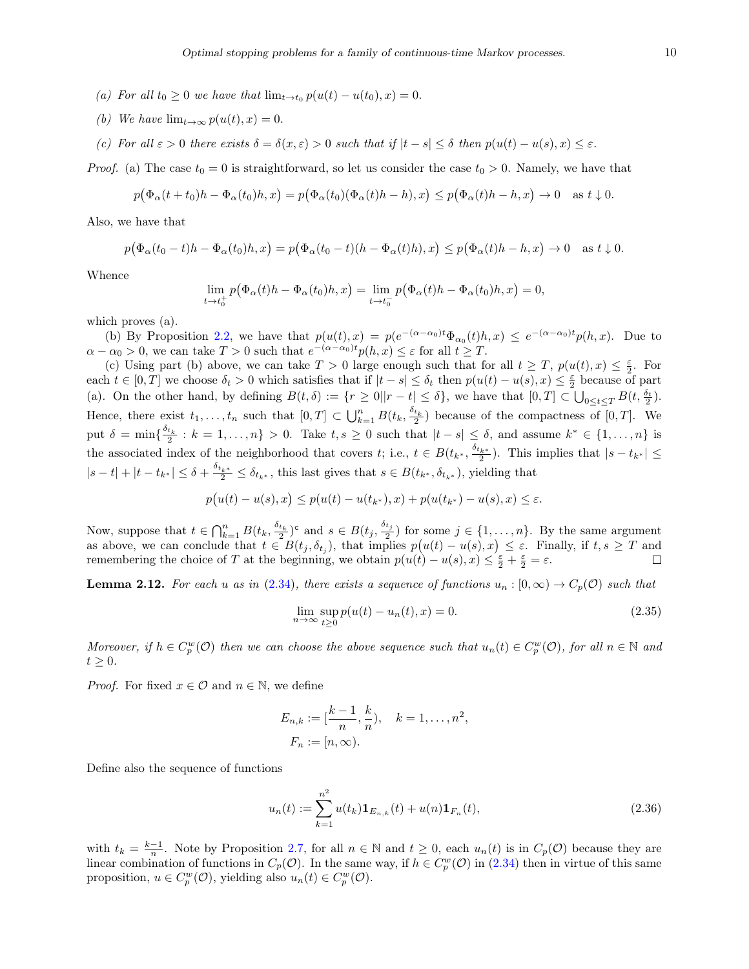- (a) For all  $t_0 \geq 0$  we have that  $\lim_{t \to t_0} p(u(t) u(t_0), x) = 0$ .
- (b) We have  $\lim_{t\to\infty} p(u(t),x) = 0.$
- (c) For all  $\varepsilon > 0$  there exists  $\delta = \delta(x, \varepsilon) > 0$  such that if  $|t s| \leq \delta$  then  $p(u(t) u(s), x) \leq \varepsilon$ .

*Proof.* (a) The case  $t_0 = 0$  is straightforward, so let us consider the case  $t_0 > 0$ . Namely, we have that

$$
p(\Phi_{\alpha}(t+t_0)h-\Phi_{\alpha}(t_0)h,x)=p(\Phi_{\alpha}(t_0)(\Phi_{\alpha}(t)h-h),x)\leq p(\Phi_{\alpha}(t)h-h,x)\to 0 \text{ as } t\downarrow 0.
$$

Also, we have that

$$
p(\Phi_{\alpha}(t_0-t)h-\Phi_{\alpha}(t_0)h,x)=p(\Phi_{\alpha}(t_0-t)(h-\Phi_{\alpha}(t)h),x)\leq p(\Phi_{\alpha}(t)h-h,x)\to 0 \text{ as } t\downarrow 0.
$$

Whence

$$
\lim_{t \to t_0^+} p(\Phi_\alpha(t)h - \Phi_\alpha(t_0)h, x) = \lim_{t \to t_0^-} p(\Phi_\alpha(t)h - \Phi_\alpha(t_0)h, x) = 0,
$$

which proves (a).

(b) By Proposition [2.2,](#page-4-2) we have that  $p(u(t),x) = p(e^{-(\alpha-\alpha_0)t}\Phi_{\alpha_0}(t)h,x) \leq e^{-(\alpha-\alpha_0)t}p(h,x)$ . Due to  $\alpha - \alpha_0 > 0$ , we can take  $T > 0$  such that  $e^{-(\alpha - \alpha_0)t} p(h, x) \leq \varepsilon$  for all  $t \geq T$ .

(c) Using part (b) above, we can take  $T > 0$  large enough such that for all  $t \geq T$ ,  $p(u(t), x) \leq \frac{\varepsilon}{2}$ . For each  $t \in [0,T]$  we choose  $\delta_t > 0$  which satisfies that if  $|t - s| \leq \delta_t$  then  $p(u(t) - u(s), x) \leq \frac{\varepsilon}{2}$  because of part (a). On the other hand, by defining  $B(t,\delta) := \{r \geq 0 | |r-t| \leq \delta\}$ , we have that  $[0,T] \subset \bigcup_{0 \leq t \leq T} B(t,\frac{\delta_t}{2})$ . Hence, there exist  $t_1, \ldots, t_n$  such that  $[0, T] \subset \bigcup_{k=1}^n B(t_k, \frac{\delta_{t_k}}{2})$  because of the compactness of  $[0, T]$ . We put  $\delta = \min\{\frac{\delta_{t_k}}{2} : k = 1, \ldots, n\} > 0$ . Take  $t, s \ge 0$  such that  $|t - s| \le \delta$ , and assume  $k^* \in \{1, \ldots, n\}$  is the associated index of the neighborhood that covers  $t$ ; i.e.,  $t \in B(t_{k^*}, \frac{\delta_{t_{k^*}}}{2})$ . This implies that  $|s-t_{k^*}| \le$  $|s-t|+|t-t_{k^*}| \leq \delta + \frac{\delta_{t_{k^*}}}{2} \leq \delta_{t_{k^*}},$  this last gives that  $s \in B(t_{k^*}, \delta_{t_{k^*}})$ , yielding that

$$
p(u(t) - u(s), x) \le p(u(t) - u(t_{k^*}), x) + p(u(t_{k^*}) - u(s), x) \le \varepsilon.
$$

Now, suppose that  $t \in \bigcap_{k=1}^n B(t_k, \frac{\delta_{t_k}}{2})^c$  and  $s \in B(t_j, \frac{\delta_{t_j}}{2})$  for some  $j \in \{1, \ldots, n\}$ . By the same argument as above, we can conclude that  $t \in B(t_j, \delta_{t_j})$ , that implies  $p(u(t) - u(s), x) \leq \varepsilon$ . Finally, if  $t, s \geq T$  and remembering the choice of T at the beginning, we obtain  $p(u(t) - u(s), x) \leq \frac{\varepsilon}{2} + \frac{\varepsilon}{2} = \varepsilon$ .  $\Box$ 

<span id="page-10-1"></span>**Lemma 2.12.** For each u as in [\(2.34\)](#page-9-2), there exists a sequence of functions  $u_n : [0, \infty) \to C_p(\mathcal{O})$  such that

$$
\lim_{n \to \infty} \sup_{t \ge 0} p(u(t) - u_n(t), x) = 0.
$$
\n(2.35)

Moreover, if  $h \in C_p^w(\mathcal{O})$  then we can choose the above sequence such that  $u_n(t) \in C_p^w(\mathcal{O})$ , for all  $n \in \mathbb{N}$  and  $t \geq 0$ .

*Proof.* For fixed  $x \in \mathcal{O}$  and  $n \in \mathbb{N}$ , we define

$$
E_{n,k} := [\frac{k-1}{n}, \frac{k}{n}), \quad k = 1, ..., n^2,
$$
  

$$
F_n := [n, \infty).
$$

Define also the sequence of functions

<span id="page-10-0"></span>
$$
u_n(t) := \sum_{k=1}^{n^2} u(t_k) \mathbf{1}_{E_{n,k}}(t) + u(n) \mathbf{1}_{F_n}(t),
$$
\n(2.36)

with  $t_k = \frac{k-1}{n}$ . Note by Proposition [2.7,](#page-6-2) for all  $n \in \mathbb{N}$  and  $t \geq 0$ , each  $u_n(t)$  is in  $C_p(\mathcal{O})$  because they are linear combination of functions in  $C_p(\mathcal{O})$ . In the same way, if  $h \in C_p^w(\mathcal{O})$  in  $(2.34)$  then in virtue of this same proposition,  $u \in C_p^w(\mathcal{O})$ , yielding also  $u_n(t) \in C_p^w(\mathcal{O})$ .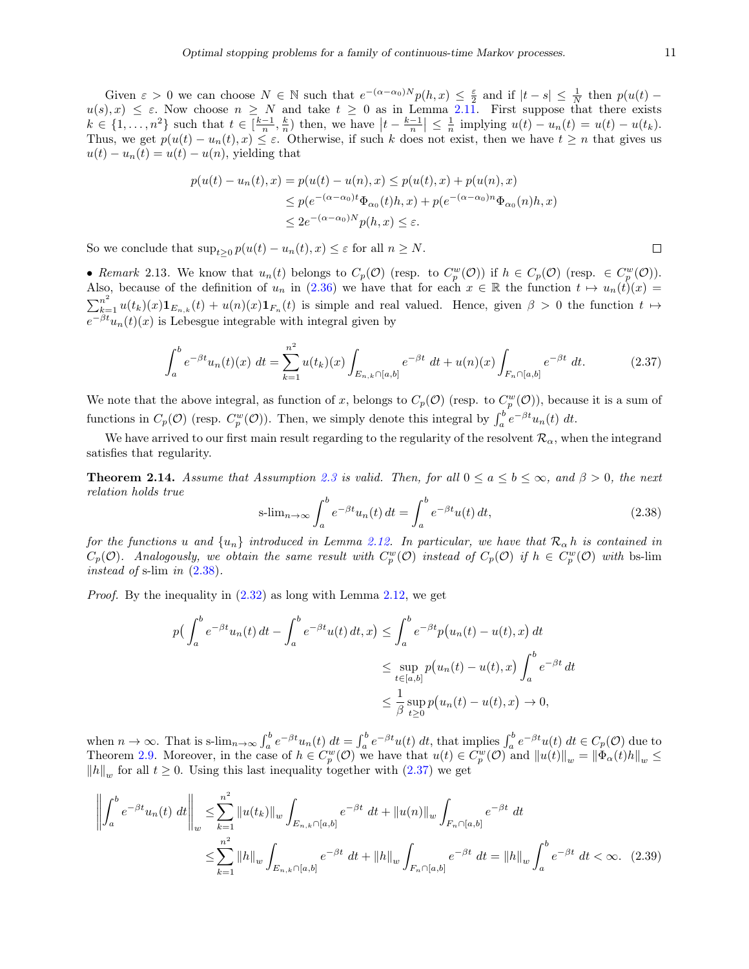Given  $\varepsilon > 0$  we can choose  $N \in \mathbb{N}$  such that  $e^{-(\alpha-\alpha_0)N}p(h,x) \leq \frac{\varepsilon}{2}$  and if  $|t-s| \leq \frac{1}{N}$  then  $p(u(t)$  $u(s), x) \leq \varepsilon$ . Now choose  $n \geq N$  and take  $t \geq 0$  as in Lemma [2.11.](#page-9-3) First suppose that there exists  $k \in \{1, \ldots, n^2\}$  such that  $t \in \left[\frac{k-1}{n}, \frac{k}{n}\right)$  then, we have  $\left|t - \frac{k-1}{n}\right| \leq \frac{1}{n}$  implying  $u(t) - u_n(t) = u(t) - u(t_k)$ . Thus, we get  $p(u(t) - u_n(t), x) \le \varepsilon$ . Otherwise, if such k does not exist, then we have  $t \ge n$  that gives us  $u(t) - u_n(t) = u(t) - u(n)$ , yielding that

$$
p(u(t) - u_n(t), x) = p(u(t) - u(n), x) \le p(u(t), x) + p(u(n), x)
$$
  
\n
$$
\le p(e^{-(\alpha - \alpha_0)t}\Phi_{\alpha_0}(t)h, x) + p(e^{-(\alpha - \alpha_0)n}\Phi_{\alpha_0}(n)h, x)
$$
  
\n
$$
\le 2e^{-(\alpha - \alpha_0)N}p(h, x) \le \varepsilon.
$$

So we conclude that  $\sup_{t>0} p(u(t) - u_n(t), x) \leq \varepsilon$  for all  $n \geq N$ .

• Remark 2.13. We know that  $u_n(t)$  belongs to  $C_p(\mathcal{O})$  (resp. to  $C_p^w(\mathcal{O})$ ) if  $h \in C_p(\mathcal{O})$  (resp.  $\in C_p^w(\mathcal{O})$ ). Also, because of the definition of  $u_n$  in [\(2.36\)](#page-10-0) we have that for each  $x \in \mathbb{R}$  the function  $t \mapsto u_n(t)(x) =$  $\sum_{k=1}^{n^2} u(t_k)(x) \mathbf{1}_{E_{n,k}}(t) + u(n)(x) \mathbf{1}_{F_n}(t)$  is simple and real valued. Hence, given  $\beta > 0$  the function  $t \mapsto$  $e^{-\beta t}u_n(t)(x)$  is Lebesgue integrable with integral given by

<span id="page-11-2"></span>
$$
\int_{a}^{b} e^{-\beta t} u_n(t)(x) dt = \sum_{k=1}^{n^2} u(t_k)(x) \int_{E_{n,k} \cap [a,b]} e^{-\beta t} dt + u(n)(x) \int_{F_n \cap [a,b]} e^{-\beta t} dt.
$$
 (2.37)

We note that the above integral, as function of x, belongs to  $C_p(\mathcal{O})$  (resp. to  $C_p^w(\mathcal{O})$ ), because it is a sum of functions in  $C_p(\mathcal{O})$  (resp.  $C_p^w(\mathcal{O})$ ). Then, we simply denote this integral by  $\int_a^b e^{-\beta t} u_n(t) dt$ .

We have arrived to our first main result regarding to the regularity of the resolvent  $\mathcal{R}_{\alpha}$ , when the integrand satisfies that regularity.

<span id="page-11-0"></span>**Theorem 2.14.** Assume that Assumption [2.3](#page-5-0) is valid. Then, for all  $0 \le a \le b \le \infty$ , and  $\beta > 0$ , the next relation holds true

<span id="page-11-1"></span>
$$
\text{s-lim}_{n \to \infty} \int_{a}^{b} e^{-\beta t} u_n(t) dt = \int_{a}^{b} e^{-\beta t} u(t) dt,
$$
\n(2.38)

for the functions u and  $\{u_n\}$  introduced in Lemma [2.12.](#page-10-1) In particular, we have that  $\mathcal{R}_{\alpha}$  h is contained in  $C_p(\mathcal{O})$ . Analogously, we obtain the same result with  $C_p^w(\mathcal{O})$  instead of  $C_p(\mathcal{O})$  if  $h \in C_p^w(\mathcal{O})$  with bs-lim instead of s-lim in  $(2.38)$ .

*Proof.* By the inequality in  $(2.32)$  as long with Lemma  $2.12$ , we get

$$
p\left(\int_{a}^{b} e^{-\beta t} u_n(t) dt - \int_{a}^{b} e^{-\beta t} u(t) dt, x\right) \le \int_{a}^{b} e^{-\beta t} p\left(u_n(t) - u(t), x\right) dt
$$
  

$$
\le \sup_{t \in [a,b]} p\left(u_n(t) - u(t), x\right) \int_{a}^{b} e^{-\beta t} dt
$$
  

$$
\le \frac{1}{\beta} \sup_{t \ge 0} p\left(u_n(t) - u(t), x\right) \to 0,
$$

when  $n \to \infty$ . That is s-lim<sub>n→∞</sub>  $\int_a^b e^{-\beta t} u(t) dt = \int_a^b e^{-\beta t} u(t) dt$ , that implies  $\int_a^b e^{-\beta t} u(t) dt \in C_p(\mathcal{O})$  due to Theorem [2.9.](#page-8-3) Moreover, in the case of  $h \in C_p^w(\mathcal{O})$  we have that  $u(t) \in C_p^w(\mathcal{O})$  and  $||u(t)||_w = ||\Phi_\alpha(t)h||_w \le$  $||h||_w$  for all  $t \geq 0$ . Using this last inequality together with  $(2.37)$  we get

$$
\left\| \int_{a}^{b} e^{-\beta t} u_{n}(t) dt \right\|_{w} \leq \sum_{k=1}^{n^{2}} \|u(t_{k})\|_{w} \int_{E_{n,k} \cap [a,b]} e^{-\beta t} dt + \|u(n)\|_{w} \int_{F_{n} \cap [a,b]} e^{-\beta t} dt
$$
  

$$
\leq \sum_{k=1}^{n^{2}} \|h\|_{w} \int_{E_{n,k} \cap [a,b]} e^{-\beta t} dt + \|h\|_{w} \int_{F_{n} \cap [a,b]} e^{-\beta t} dt = \|h\|_{w} \int_{a}^{b} e^{-\beta t} dt < \infty. \quad (2.39)
$$

 $\Box$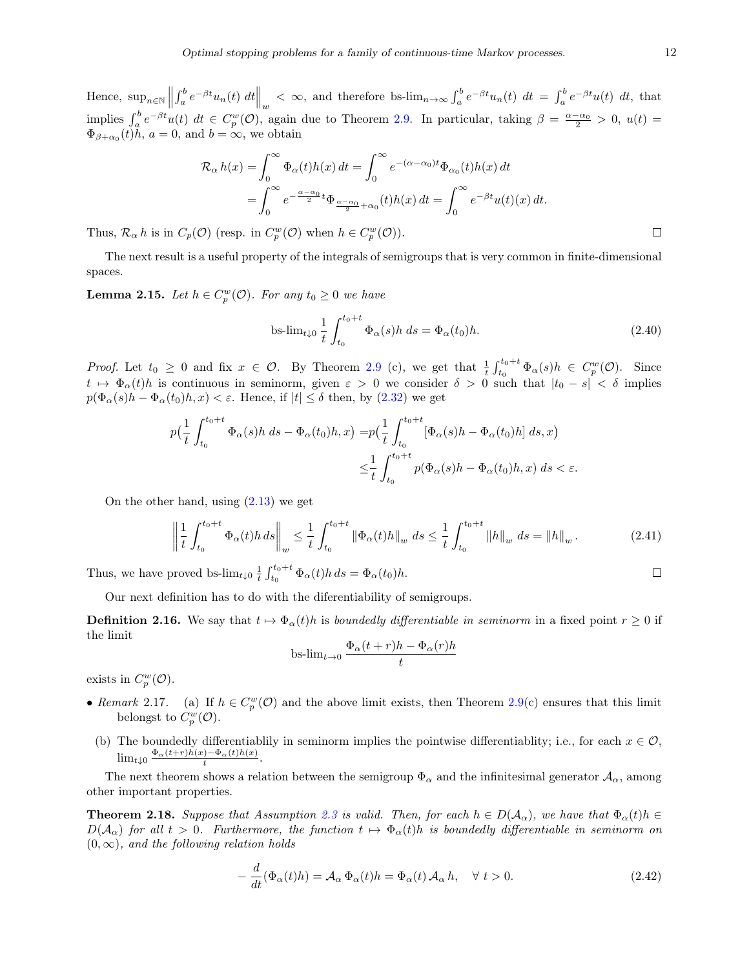Hence,  $\sup_{n\in\mathbb{N}}$  $\int_a^b e^{-\beta t} u_n(t) dt \Big|_w < \infty$ , and therefore bs- $\lim_{n\to\infty} \int_a^b e^{-\beta t} u_n(t) dt = \int_a^b e^{-\beta t} u(t) dt$ , that implies  $\int_a^b e^{-\beta t} u(t) dt \in C_p^w(\mathcal{O})$ , again due to Theorem [2.9.](#page-8-3) In particular, taking  $\beta = \frac{\alpha - \alpha_0}{2} > 0$ ,  $u(t) =$  $\Phi_{\beta+\alpha_0}(t)h, a=0$ , and  $b=\infty$ , we obtain

$$
\mathcal{R}_{\alpha} h(x) = \int_0^{\infty} \Phi_{\alpha}(t)h(x) dt = \int_0^{\infty} e^{-(\alpha - \alpha_0)t} \Phi_{\alpha_0}(t)h(x) dt
$$
  
= 
$$
\int_0^{\infty} e^{-\frac{\alpha - \alpha_0}{2}t} \Phi_{\frac{\alpha - \alpha_0}{2} + \alpha_0}(t)h(x) dt = \int_0^{\infty} e^{-\beta t} u(t)(x) dt.
$$

Thus,  $\mathcal{R}_{\alpha} h$  is in  $C_p(\mathcal{O})$  (resp. in  $C_p^w(\mathcal{O})$  when  $h \in C_p^w(\mathcal{O})$ ).

The next result is a useful property of the integrals of semigroups that is very common in finite-dimensional spaces.

<span id="page-12-2"></span>**Lemma 2.15.** Let  $h \in C_p^w(\mathcal{O})$ . For any  $t_0 \geq 0$  we have

bs-lim<sub>t
$$
\downarrow 0
$$</sub>  $\frac{1}{t} \int_{t_0}^{t_0+t} \Phi_{\alpha}(s)h ds = \Phi_{\alpha}(t_0)h.$  (2.40)

*Proof.* Let  $t_0 \geq 0$  and fix  $x \in \mathcal{O}$ . By Theorem [2.9](#page-8-3) (c), we get that  $\frac{1}{t} \int_{t_0}^{t_0+t} \Phi_\alpha(s) h \in C_p^w(\mathcal{O})$ . Since  $t \mapsto \Phi_{\alpha}(t)h$  is continuous in seminorm, given  $\varepsilon > 0$  we consider  $\delta > 0$  such that  $|t_0 - s| < \delta$  implies  $p(\Phi_{\alpha}(s)h - \Phi_{\alpha}(t_0)h, x) < \varepsilon$ . Hence, if  $|t| \leq \delta$  then, by [\(2.32\)](#page-9-4) we get

$$
p\left(\frac{1}{t}\int_{t_0}^{t_0+t}\Phi_\alpha(s)h\ ds-\Phi_\alpha(t_0)h,x\right)=p\left(\frac{1}{t}\int_{t_0}^{t_0+t}\left[\Phi_\alpha(s)h-\Phi_\alpha(t_0)h\right]\ ds,x\right)
$$
  

$$
\leq\frac{1}{t}\int_{t_0}^{t_0+t}p(\Phi_\alpha(s)h-\Phi_\alpha(t_0)h,x)\ ds<\varepsilon.
$$

On the other hand, using  $(2.13)$  we get

$$
\left\| \frac{1}{t} \int_{t_0}^{t_0+t} \Phi_\alpha(t) h ds \right\|_w \le \frac{1}{t} \int_{t_0}^{t_0+t} \left\| \Phi_\alpha(t) h \right\|_w ds \le \frac{1}{t} \int_{t_0}^{t_0+t} \left\| h \right\|_w ds = \left\| h \right\|_w.
$$
 (2.41)

Thus, we have proved bs- $\lim_{t\downarrow 0} \frac{1}{t} \int_{t_0}^{t_0+t} \Phi_\alpha(t) h ds = \Phi_\alpha(t_0) h$ .

Our next definition has to do with the diferentiability of semigroups.

**Definition 2.16.** We say that  $t \mapsto \Phi_{\alpha}(t)h$  is boundedly differentiable in seminorm in a fixed point  $r \ge 0$  if the limit

$$
\mathrm{bs}\text{-}\mathrm{lim}_{t\to 0}\frac{\Phi_\alpha(t+r)h-\Phi_\alpha(r)h}{t}
$$

exists in  $C_p^w(\mathcal{O})$ .

- Remark 2.17. (a) If  $h \in C_p^w(\mathcal{O})$  and the above limit exists, then Theorem [2.9\(](#page-8-3)c) ensures that this limit belongst to  $C_p^w(\mathcal{O})$ .
- (b) The boundedly differentiablily in seminorm implies the pointwise differentiablity; i.e., for each  $x \in \mathcal{O}$ ,  $\lim_{t\downarrow 0} \frac{\Phi_\alpha(t+r)h(x)-\Phi_\alpha(t)h(x)}{t}$ .

The next theorem shows a relation between the semigroup  $\Phi_{\alpha}$  and the infinitesimal generator  $\mathcal{A}_{\alpha}$ , among other important properties.

<span id="page-12-1"></span>**Theorem 2.18.** Suppose that Assumption [2.3](#page-5-0) is valid. Then, for each  $h \in D(\mathcal{A}_{\alpha})$ , we have that  $\Phi_{\alpha}(t)h \in$  $D(\mathcal{A}_\alpha)$  for all  $t > 0$ . Furthermore, the function  $t \mapsto \Phi_\alpha(t)h$  is boundedly differentiable in seminorm on  $(0, \infty)$ , and the following relation holds

<span id="page-12-0"></span>
$$
-\frac{d}{dt}(\Phi_{\alpha}(t)h) = \mathcal{A}_{\alpha}\Phi_{\alpha}(t)h = \Phi_{\alpha}(t)\,\mathcal{A}_{\alpha}\,h, \quad \forall \ t > 0.
$$
\n(2.42)

 $\Box$ 

 $\Box$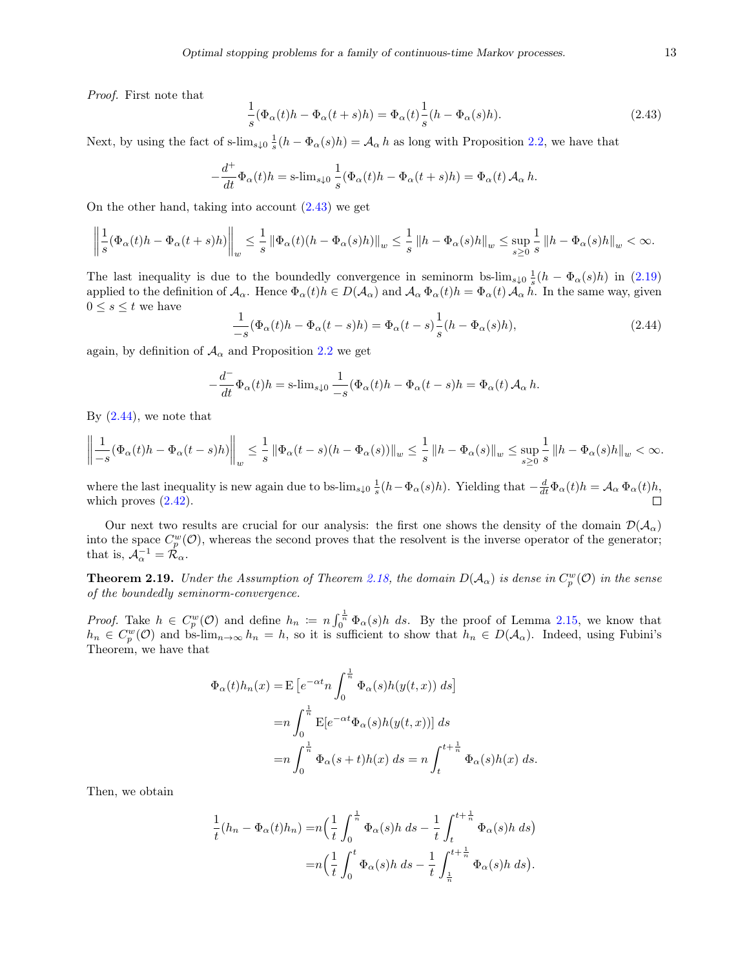Proof. First note that

<span id="page-13-0"></span>
$$
\frac{1}{s}(\Phi_{\alpha}(t)h - \Phi_{\alpha}(t+s)h) = \Phi_{\alpha}(t)\frac{1}{s}(h - \Phi_{\alpha}(s)h).
$$
\n(2.43)

Next, by using the fact of s-lim<sub>s</sub><sub>40</sub>  $\frac{1}{s}(h - \Phi_\alpha(s)h) = A_\alpha h$  as long with Proposition [2.2,](#page-4-2) we have that

$$
-\frac{d^+}{dt}\Phi_\alpha(t)h = \text{s-lim}_{s\downarrow 0}\frac{1}{s}(\Phi_\alpha(t)h - \Phi_\alpha(t+s)h) = \Phi_\alpha(t)\,\mathcal{A}_\alpha\,h.
$$

On the other hand, taking into account [\(2.43\)](#page-13-0) we get

$$
\left\|\frac{1}{s}(\Phi_\alpha(t)h-\Phi_\alpha(t+s)h)\right\|_w\leq \frac{1}{s}\left\|\Phi_\alpha(t)(h-\Phi_\alpha(s)h)\right\|_w\leq \frac{1}{s}\left\|h-\Phi_\alpha(s)h\right\|_w\leq \sup_{s\geq 0}\frac{1}{s}\left\|h-\Phi_\alpha(s)h\right\|_w<\infty.
$$

The last inequality is due to the boundedly convergence in seminorm bs- $\lim_{s\downarrow 0} \frac{1}{s}(h - \Phi_\alpha(s)h)$  in [\(2.19\)](#page-6-3) applied to the definition of  $\mathcal{A}_{\alpha}$ . Hence  $\Phi_{\alpha}(t)h \in D(\mathcal{A}_{\alpha})$  and  $\mathcal{A}_{\alpha} \Phi_{\alpha}(t)h = \Phi_{\alpha}(t) \mathcal{A}_{\alpha} \tilde{h}$ . In the same way, given  $0 \leq s \leq t$  we have

<span id="page-13-1"></span>
$$
\frac{1}{-s}(\Phi_{\alpha}(t)h - \Phi_{\alpha}(t-s)h) = \Phi_{\alpha}(t-s)\frac{1}{s}(h - \Phi_{\alpha}(s)h),\tag{2.44}
$$

again, by definition of  $A_{\alpha}$  and Proposition [2.2](#page-4-2) we get

$$
-\frac{d^-}{dt}\Phi_\alpha(t)h = \mathrm{s}\text{-}\lim_{s\downarrow 0}\frac{1}{-s}(\Phi_\alpha(t)h - \Phi_\alpha(t-s)h = \Phi_\alpha(t)\mathcal{A}_\alpha h.
$$

By [\(2.44\)](#page-13-1), we note that

$$
\left\|\frac{1}{-s}(\Phi_\alpha(t)h-\Phi_\alpha(t-s)h)\right\|_w\leq \frac{1}{s}\left\|\Phi_\alpha(t-s)(h-\Phi_\alpha(s))\right\|_w\leq \frac{1}{s}\left\|h-\Phi_\alpha(s)\right\|_w\leq \sup_{s\geq 0}\frac{1}{s}\left\|h-\Phi_\alpha(s)h\right\|_w<\infty.
$$

where the last inequality is new again due to bs-lim<sub>s↓0</sub>  $\frac{1}{s}(h - \Phi_\alpha(s)h)$ . Yielding that  $-\frac{d}{dt}\Phi_\alpha(t)h = \mathcal{A}_\alpha \Phi_\alpha(t)h$ , which proves  $(2.42)$ .

Our next two results are crucial for our analysis: the first one shows the density of the domain  $\mathcal{D}(\mathcal{A}_{\alpha})$ into the space  $C_p^w(\mathcal{O})$ , whereas the second proves that the resolvent is the inverse operator of the generator; that is,  $\mathcal{A}_{\alpha}^{-1} = \mathcal{R}_{\alpha}$ .

**Theorem 2.19.** Under the Assumption of Theorem [2.18,](#page-12-1) the domain  $D(A_\alpha)$  is dense in  $C_p^w(\mathcal{O})$  in the sense of the boundedly seminorm-convergence.

*Proof.* Take  $h \in C_p^w(\mathcal{O})$  and define  $h_n := n \int_0^{\frac{1}{n}} \Phi_\alpha(s) h \ ds$ . By the proof of Lemma [2.15,](#page-12-2) we know that  $h_n \in C_p^w(\mathcal{O})$  and bs-lim<sub>n→∞</sub>  $h_n = h$ , so it is sufficient to show that  $h_n \in D(\mathcal{A}_\alpha)$ . Indeed, using Fubini's Theorem, we have that

$$
\Phi_{\alpha}(t)h_n(x) = \mathcal{E}\left[e^{-\alpha t}n\int_0^{\frac{1}{n}}\Phi_{\alpha}(s)h(y(t,x))\ ds\right]
$$

$$
= n\int_0^{\frac{1}{n}}\mathcal{E}[e^{-\alpha t}\Phi_{\alpha}(s)h(y(t,x))] \ ds
$$

$$
= n\int_0^{\frac{1}{n}}\Phi_{\alpha}(s+t)h(x) \ ds = n\int_t^{t+\frac{1}{n}}\Phi_{\alpha}(s)h(x) \ ds.
$$

Then, we obtain

$$
\frac{1}{t}(h_n - \Phi_\alpha(t)h_n) = n\left(\frac{1}{t}\int_0^{\frac{1}{n}} \Phi_\alpha(s)h \, ds - \frac{1}{t}\int_t^{t + \frac{1}{n}} \Phi_\alpha(s)h \, ds\right)
$$

$$
= n\left(\frac{1}{t}\int_0^t \Phi_\alpha(s)h \, ds - \frac{1}{t}\int_{\frac{1}{n}}^{t + \frac{1}{n}} \Phi_\alpha(s)h \, ds\right).
$$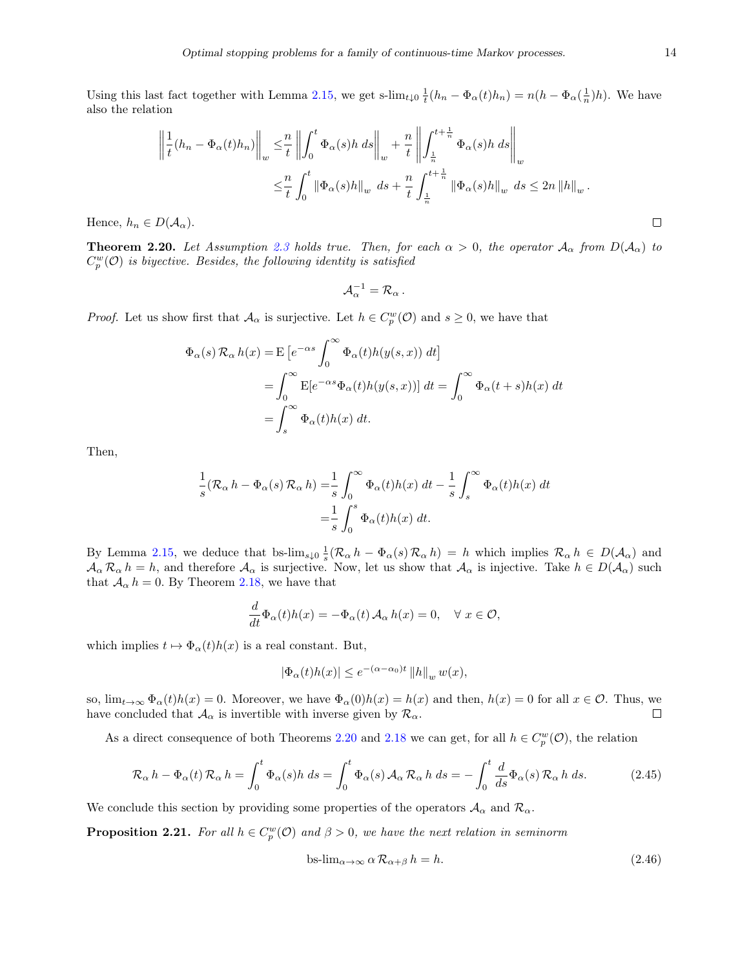Using this last fact together with Lemma [2.15,](#page-12-2) we get s-lim<sub>t<sub>↓0</sub>  $\frac{1}{t}(h_n - \Phi_\alpha(t)h_n) = n(h - \Phi_\alpha(\frac{1}{n})h)$ . We have</sub> also the relation

$$
\left\| \frac{1}{t}(h_n - \Phi_\alpha(t)h_n) \right\|_w \leq \frac{n}{t} \left\| \int_0^t \Phi_\alpha(s)h \, ds \right\|_w + \frac{n}{t} \left\| \int_{\frac{1}{n}}^{t + \frac{1}{n}} \Phi_\alpha(s)h \, ds \right\|_w
$$
  

$$
\leq \frac{n}{t} \int_0^t \|\Phi_\alpha(s)h\|_w \, ds + \frac{n}{t} \int_{\frac{1}{n}}^{t + \frac{1}{n}} \|\Phi_\alpha(s)h\|_w \, ds \leq 2n \|h\|_w.
$$
  

$$
D(\mathcal{A}_\alpha).
$$

Hence,  $h_n \in D(\mathcal{A}_{\alpha}).$ 

<span id="page-14-0"></span>**Theorem 2.20.** Let Assumption [2.3](#page-5-0) holds true. Then, for each  $\alpha > 0$ , the operator  $\mathcal{A}_{\alpha}$  from  $D(\mathcal{A}_{\alpha})$  to  $C_p^w(\mathcal{O})$  is biyective. Besides, the following identity is satisfied

$$
\mathcal{A}_{\alpha}^{-1}=\mathcal{R}_{\alpha}.
$$

*Proof.* Let us show first that  $\mathcal{A}_{\alpha}$  is surjective. Let  $h \in C_p^w(\mathcal{O})$  and  $s \geq 0$ , we have that

$$
\Phi_{\alpha}(s) \mathcal{R}_{\alpha} h(x) = \mathbb{E} \left[ e^{-\alpha s} \int_0^{\infty} \Phi_{\alpha}(t) h(y(s, x)) dt \right]
$$
  
= 
$$
\int_0^{\infty} \mathbb{E} [e^{-\alpha s} \Phi_{\alpha}(t) h(y(s, x))] dt = \int_0^{\infty} \Phi_{\alpha}(t + s) h(x) dt
$$
  
= 
$$
\int_s^{\infty} \Phi_{\alpha}(t) h(x) dt.
$$

Then,

$$
\frac{1}{s}(\mathcal{R}_{\alpha} h - \Phi_{\alpha}(s)\mathcal{R}_{\alpha} h) = \frac{1}{s} \int_0^{\infty} \Phi_{\alpha}(t)h(x) dt - \frac{1}{s} \int_s^{\infty} \Phi_{\alpha}(t)h(x) dt
$$

$$
= \frac{1}{s} \int_0^s \Phi_{\alpha}(t)h(x) dt.
$$

By Lemma [2.15,](#page-12-2) we deduce that bs- $\lim_{s\downarrow 0} \frac{1}{s} (\mathcal{R}_{\alpha} h - \Phi_{\alpha}(s) \mathcal{R}_{\alpha} h) = h$  which implies  $\mathcal{R}_{\alpha} h \in D(\mathcal{A}_{\alpha})$  and  $A_{\alpha} R_{\alpha} h = h$ , and therefore  $A_{\alpha}$  is surjective. Now, let us show that  $A_{\alpha}$  is injective. Take  $h \in D(A_{\alpha})$  such that  $A_{\alpha} h = 0$ . By Theorem [2.18,](#page-12-1) we have that

$$
\frac{d}{dt}\Phi_{\alpha}(t)h(x) = -\Phi_{\alpha}(t)\mathcal{A}_{\alpha}h(x) = 0, \quad \forall x \in \mathcal{O},
$$

which implies  $t \mapsto \Phi_{\alpha}(t)h(x)$  is a real constant. But,

$$
|\Phi_{\alpha}(t)h(x)| \le e^{-(\alpha-\alpha_0)t} ||h||_w w(x),
$$

so,  $\lim_{t\to\infty} \Phi_{\alpha}(t)h(x) = 0$ . Moreover, we have  $\Phi_{\alpha}(0)h(x) = h(x)$  and then,  $h(x) = 0$  for all  $x \in \mathcal{O}$ . Thus, we have concluded that  $A_{\alpha}$  is invertible with inverse given by  $\mathcal{R}_{\alpha}$ .  $\Box$ 

As a direct consequence of both Theorems [2.20](#page-14-0) and [2.18](#page-12-1) we can get, for all  $h \in C_p^w(\mathcal{O})$ , the relation

<span id="page-14-2"></span>
$$
\mathcal{R}_{\alpha} h - \Phi_{\alpha}(t) \mathcal{R}_{\alpha} h = \int_0^t \Phi_{\alpha}(s) h \, ds = \int_0^t \Phi_{\alpha}(s) \mathcal{A}_{\alpha} \mathcal{R}_{\alpha} h \, ds = -\int_0^t \frac{d}{ds} \Phi_{\alpha}(s) \mathcal{R}_{\alpha} h \, ds. \tag{2.45}
$$

We conclude this section by providing some properties of the operators  $A_{\alpha}$  and  $\mathcal{R}_{\alpha}$ .

**Proposition 2.21.** For all  $h \in C_p^w(\mathcal{O})$  and  $\beta > 0$ , we have the next relation in seminorm

<span id="page-14-1"></span>
$$
\text{bs-lim}_{\alpha \to \infty} \alpha \mathcal{R}_{\alpha+\beta} h = h. \tag{2.46}
$$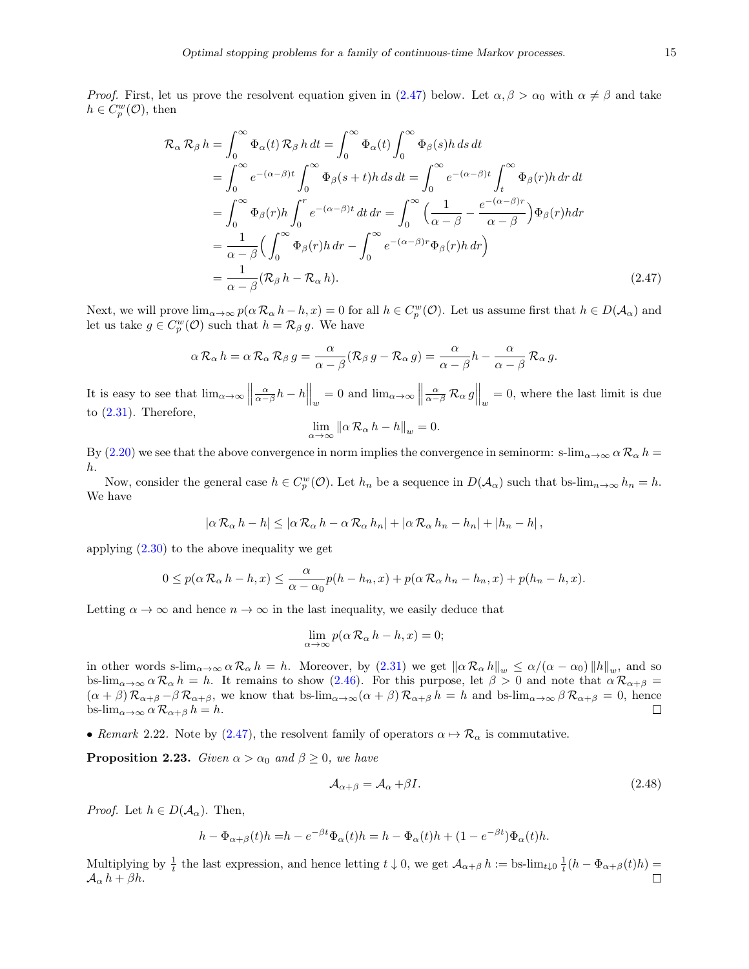*Proof.* First, let us prove the resolvent equation given in [\(2.47\)](#page-15-0) below. Let  $\alpha, \beta > \alpha_0$  with  $\alpha \neq \beta$  and take  $h \in C_p^w(\mathcal{O}), \text{ then}$ 

$$
\mathcal{R}_{\alpha}\mathcal{R}_{\beta}h = \int_{0}^{\infty} \Phi_{\alpha}(t)\mathcal{R}_{\beta}h dt = \int_{0}^{\infty} \Phi_{\alpha}(t)\int_{0}^{\infty} \Phi_{\beta}(s)h ds dt
$$
  
\n
$$
= \int_{0}^{\infty} e^{-(\alpha-\beta)t} \int_{0}^{\infty} \Phi_{\beta}(s+t)h ds dt = \int_{0}^{\infty} e^{-(\alpha-\beta)t} \int_{t}^{\infty} \Phi_{\beta}(r)h dr dt
$$
  
\n
$$
= \int_{0}^{\infty} \Phi_{\beta}(r)h \int_{0}^{r} e^{-(\alpha-\beta)t} dt dr = \int_{0}^{\infty} \left(\frac{1}{\alpha-\beta} - \frac{e^{-(\alpha-\beta)r}}{\alpha-\beta}\right) \Phi_{\beta}(r)h dr
$$
  
\n
$$
= \frac{1}{\alpha-\beta} \Big(\int_{0}^{\infty} \Phi_{\beta}(r)h dr - \int_{0}^{\infty} e^{-(\alpha-\beta)r} \Phi_{\beta}(r)h dr\Big)
$$
  
\n
$$
= \frac{1}{\alpha-\beta} (\mathcal{R}_{\beta}h - \mathcal{R}_{\alpha}h).
$$
 (2.47)

Next, we will prove  $\lim_{\alpha\to\infty} p(\alpha \mathcal{R}_{\alpha} h - h, x) = 0$  for all  $h \in C_p^w(\mathcal{O})$ . Let us assume first that  $h \in D(\mathcal{A}_{\alpha})$  and let us take  $g \in C_p^w(\mathcal{O})$  such that  $h = \mathcal{R}_\beta g$ . We have

$$
\alpha \mathcal{R}_{\alpha} h = \alpha \mathcal{R}_{\alpha} \mathcal{R}_{\beta} g = \frac{\alpha}{\alpha - \beta} (\mathcal{R}_{\beta} g - \mathcal{R}_{\alpha} g) = \frac{\alpha}{\alpha - \beta} h - \frac{\alpha}{\alpha - \beta} \mathcal{R}_{\alpha} g.
$$

It is easy to see that  $\lim_{\alpha \to \infty}$  ||  $\left.\frac{\alpha}{\alpha-\beta}h-h\right\|_{w}=0$  and  $\lim_{\alpha\to\infty}\left\|h\right\|_{w}$  $\left.\frac{\alpha}{\alpha-\beta}\mathcal{R}_{\alpha} g\right\|_{w} = 0$ , where the last limit is due to [\(2.31\)](#page-9-5). Therefore,

<span id="page-15-0"></span>
$$
\lim_{\alpha \to \infty} \left\| \alpha \, \mathcal{R}_{\alpha} \, h - h \right\|_{w} = 0.
$$

By [\(2.20\)](#page-6-4) we see that the above convergence in norm implies the convergence in seminorm: s-lim<sub>α→∞</sub>  $\alpha \mathcal{R}_{\alpha} h$  = h.

Now, consider the general case  $h \in C_p^w(\mathcal{O})$ . Let  $h_n$  be a sequence in  $D(\mathcal{A}_\alpha)$  such that bs- $\lim_{n\to\infty} h_n = h$ . We have

$$
|\alpha \mathcal{R}_{\alpha} h - h| \leq |\alpha \mathcal{R}_{\alpha} h - \alpha \mathcal{R}_{\alpha} h_n| + |\alpha \mathcal{R}_{\alpha} h_n - h_n| + |h_n - h|,
$$

applying  $(2.30)$  to the above inequality we get

$$
0 \le p(\alpha \mathcal{R}_{\alpha} h - h, x) \le \frac{\alpha}{\alpha - \alpha_0} p(h - h_n, x) + p(\alpha \mathcal{R}_{\alpha} h_n - h_n, x) + p(h_n - h, x).
$$

Letting  $\alpha \to \infty$  and hence  $n \to \infty$  in the last inequality, we easily deduce that

$$
\lim_{\alpha \to \infty} p(\alpha \mathcal{R}_{\alpha} h - h, x) = 0;
$$

in other words s- $\lim_{\alpha\to\infty} \alpha \mathcal{R}_{\alpha} h = h$ . Moreover, by  $(2.31)$  we get  $\|\alpha \mathcal{R}_{\alpha} h\|_{w} \le \alpha/(\alpha - \alpha_0) \|h\|_{w}$ , and so bs-lim<sub>α→∞</sub>  $\alpha \mathcal{R}_{\alpha} h = h$ . It remains to show [\(2.46\)](#page-14-1). For this purpose, let  $\beta > 0$  and note that  $\alpha \mathcal{R}_{\alpha+\beta} =$  $(\alpha + \beta) \mathcal{R}_{\alpha+\beta} - \beta \mathcal{R}_{\alpha+\beta}$ , we know that bs-lim $_{\alpha\to\infty}$   $(\alpha + \beta) \mathcal{R}_{\alpha+\beta}$  h = h and bs-lim $_{\alpha\to\infty}$   $\beta \mathcal{R}_{\alpha+\beta}$  = 0, hence bs- $\lim_{\alpha\to\infty} \alpha \mathcal{R}_{\alpha+\beta} h = h.$ 

• Remark 2.22. Note by [\(2.47\)](#page-15-0), the resolvent family of operators  $\alpha \mapsto \mathcal{R}_{\alpha}$  is commutative.

<span id="page-15-1"></span>**Proposition 2.23.** Given  $\alpha > \alpha_0$  and  $\beta \geq 0$ , we have

$$
\mathcal{A}_{\alpha+\beta} = \mathcal{A}_{\alpha} + \beta I. \tag{2.48}
$$

*Proof.* Let  $h \in D(A_{\alpha})$ . Then,

$$
h - \Phi_{\alpha+\beta}(t)h = h - e^{-\beta t}\Phi_{\alpha}(t)h = h - \Phi_{\alpha}(t)h + (1 - e^{-\beta t})\Phi_{\alpha}(t)h.
$$

Multiplying by  $\frac{1}{t}$  the last expression, and hence letting  $t \downarrow 0$ , we get  $\mathcal{A}_{\alpha+\beta} h := \text{bs-lim}_{t\downarrow 0} \frac{1}{t} (h - \Phi_{\alpha+\beta}(t)h)$  $\mathcal{A}_{\alpha} h + \beta h.$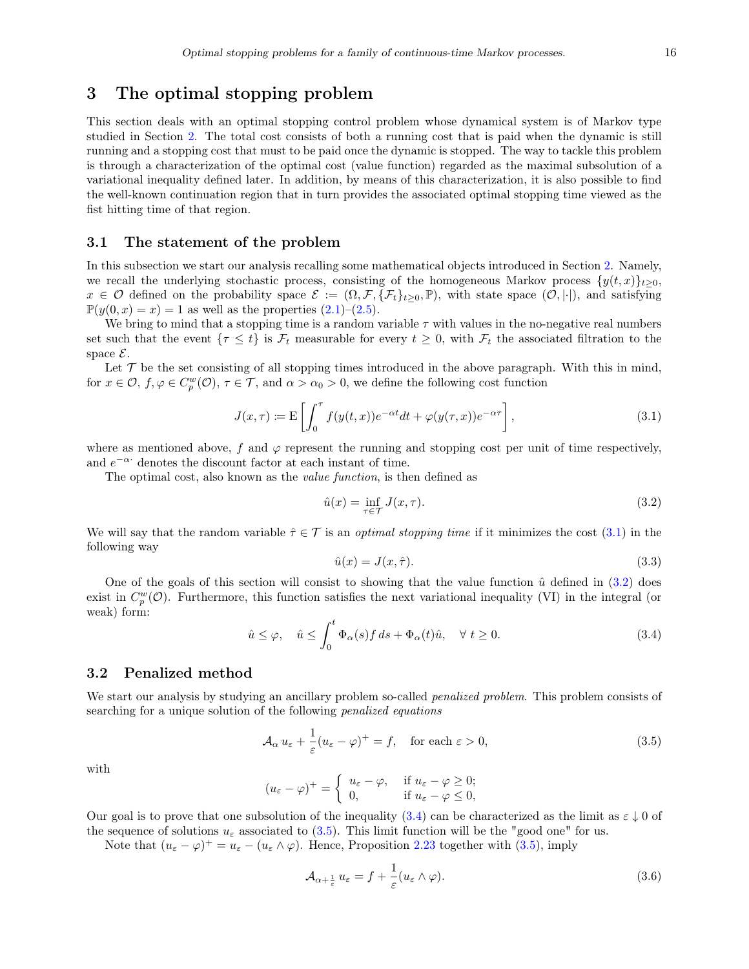## <span id="page-16-0"></span>3 The optimal stopping problem

This section deals with an optimal stopping control problem whose dynamical system is of Markov type studied in Section [2.](#page-2-0) The total cost consists of both a running cost that is paid when the dynamic is still running and a stopping cost that must to be paid once the dynamic is stopped. The way to tackle this problem is through a characterization of the optimal cost (value function) regarded as the maximal subsolution of a variational inequality defined later. In addition, by means of this characterization, it is also possible to find the well-known continuation region that in turn provides the associated optimal stopping time viewed as the fist hitting time of that region.

#### 3.1 The statement of the problem

In this subsection we start our analysis recalling some mathematical objects introduced in Section [2.](#page-2-0) Namely, we recall the underlying stochastic process, consisting of the homogeneous Markov process  $\{y(t, x)\}_{t>0}$ ,  $x \in \mathcal{O}$  defined on the probability space  $\mathcal{E} := (\Omega, \mathcal{F}, \{\mathcal{F}_t\}_{t\geq 0}, \mathbb{P})$ , with state space  $(\mathcal{O}, |\cdot|)$ , and satisfying  $\mathbb{P}(y(0, x) = x) = 1$  as well as the properties  $(2.1)$ – $(2.5)$ .

We bring to mind that a stopping time is a random variable  $\tau$  with values in the no-negative real numbers set such that the event  $\{\tau \leq t\}$  is  $\mathcal{F}_t$  measurable for every  $t \geq 0$ , with  $\mathcal{F}_t$  the associated filtration to the space  $\mathcal{E}$ .

Let  $\mathcal T$  be the set consisting of all stopping times introduced in the above paragraph. With this in mind, for  $x \in \mathcal{O}$ ,  $f, \varphi \in C_p^w(\mathcal{O})$ ,  $\tau \in \mathcal{T}$ , and  $\alpha > \alpha_0 > 0$ , we define the following cost function

<span id="page-16-1"></span>
$$
J(x,\tau) := \mathcal{E}\left[\int_0^{\tau} f(y(t,x))e^{-\alpha t}dt + \varphi(y(\tau,x))e^{-\alpha \tau}\right],
$$
\n(3.1)

where as mentioned above, f and  $\varphi$  represent the running and stopping cost per unit of time respectively, and  $e^{-\alpha}$  denotes the discount factor at each instant of time.

The optimal cost, also known as the value function, is then defined as

<span id="page-16-2"></span>
$$
\hat{u}(x) = \inf_{\tau \in \mathcal{T}} J(x, \tau). \tag{3.2}
$$

We will say that the random variable  $\hat{\tau} \in \mathcal{T}$  is an *optimal stopping time* if it minimizes the cost [\(3.1\)](#page-16-1) in the following way

<span id="page-16-6"></span>
$$
\hat{u}(x) = J(x, \hat{\tau}).\tag{3.3}
$$

One of the goals of this section will consist to showing that the value function  $\hat{u}$  defined in [\(3.2\)](#page-16-2) does exist in  $C_p^w(\mathcal{O})$ . Furthermore, this function satisfies the next variational inequality (VI) in the integral (or weak) form:

<span id="page-16-3"></span>
$$
\hat{u} \le \varphi, \quad \hat{u} \le \int_0^t \Phi_\alpha(s) f \, ds + \Phi_\alpha(t) \hat{u}, \quad \forall \ t \ge 0. \tag{3.4}
$$

#### 3.2 Penalized method

We start our analysis by studying an ancillary problem so-called *penalized problem*. This problem consists of searching for a unique solution of the following penalized equations

<span id="page-16-4"></span>
$$
\mathcal{A}_{\alpha} u_{\varepsilon} + \frac{1}{\varepsilon} (u_{\varepsilon} - \varphi)^{+} = f, \quad \text{for each } \varepsilon > 0,
$$
\n(3.5)

with

$$
(u_{\varepsilon} - \varphi)^+ = \begin{cases} u_{\varepsilon} - \varphi, & \text{if } u_{\varepsilon} - \varphi \ge 0; \\ 0, & \text{if } u_{\varepsilon} - \varphi \le 0, \end{cases}
$$

Our goal is to prove that one subsolution of the inequality [\(3.4\)](#page-16-3) can be characterized as the limit as  $\varepsilon \downarrow 0$  of the sequence of solutions  $u_{\varepsilon}$  associated to [\(3.5\)](#page-16-4). This limit function will be the "good one" for us.

Note that  $(u_{\varepsilon} - \varphi)^+ = u_{\varepsilon} - (u_{\varepsilon} \wedge \varphi)$ . Hence, Proposition [2.23](#page-15-1) together with [\(3.5\)](#page-16-4), imply

<span id="page-16-5"></span>
$$
\mathcal{A}_{\alpha+\frac{1}{\varepsilon}}u_{\varepsilon} = f + \frac{1}{\varepsilon}(u_{\varepsilon} \wedge \varphi). \tag{3.6}
$$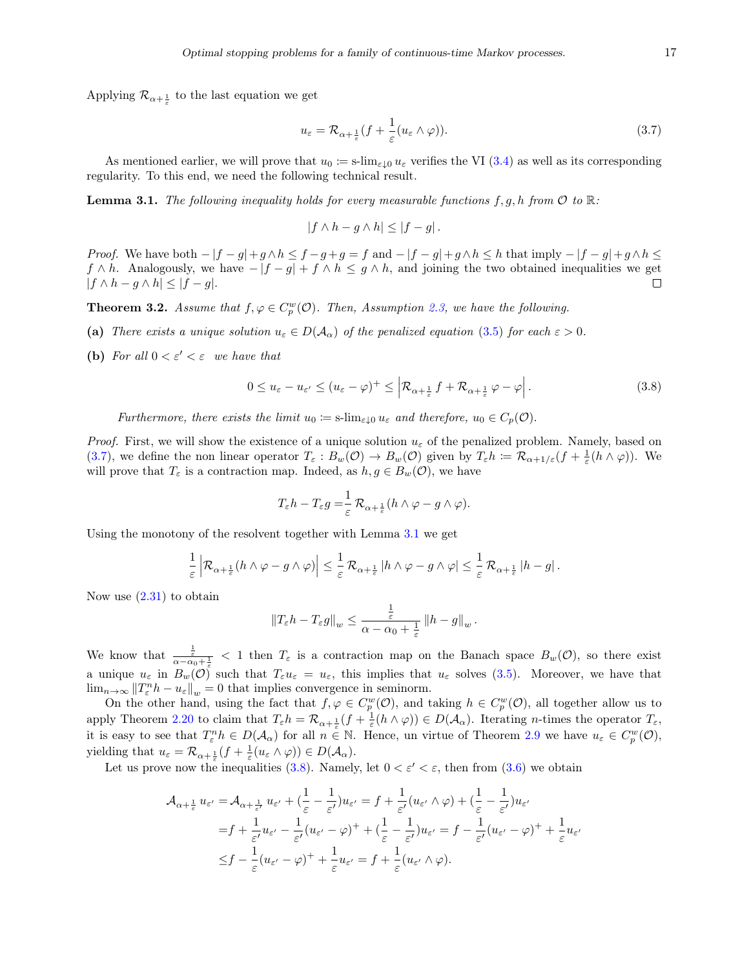Applying  $\mathcal{R}_{\alpha+\frac{1}{\varepsilon}}$  to the last equation we get

<span id="page-17-0"></span>
$$
u_{\varepsilon} = \mathcal{R}_{\alpha + \frac{1}{\varepsilon}}(f + \frac{1}{\varepsilon}(u_{\varepsilon} \wedge \varphi)).
$$
\n(3.7)

As mentioned earlier, we will prove that  $u_0 \coloneqq s\cdot \lim_{\varepsilon \downarrow 0} u_{\varepsilon}$  verifies the VI [\(3.4\)](#page-16-3) as well as its corresponding regularity. To this end, we need the following technical result.

<span id="page-17-1"></span>**Lemma 3.1.** The following inequality holds for every measurable functions  $f, g, h$  from  $\mathcal{O}$  to  $\mathbb{R}$ .

$$
|f \wedge h - g \wedge h| \le |f - g|.
$$

Proof. We have both  $-|f-g|+g\wedge h \leq f-g+g=f$  and  $-|f-g|+g\wedge h \leq h$  that imply  $-|f-g|+g\wedge h \leq h$  $f \wedge h$ . Analogously, we have  $-|f-g|+f \wedge h \leq g \wedge h$ , and joining the two obtained inequalities we get  $|f \wedge h - g \wedge h| \leq |f - g|$ .  $\Box$ 

<span id="page-17-3"></span>**Theorem 3.2.** Assume that  $f, \varphi \in C_p^w(\mathcal{O})$ . Then, Assumption [2.3,](#page-5-0) we have the following.

- (a) There exists a unique solution  $u_{\varepsilon} \in D(\mathcal{A}_{\alpha})$  of the penalized equation [\(3.5\)](#page-16-4) for each  $\varepsilon > 0$ .
- (b) For all  $0 < \varepsilon' < \varepsilon$  we have that

<span id="page-17-2"></span>
$$
0 \le u_{\varepsilon} - u_{\varepsilon'} \le (u_{\varepsilon} - \varphi)^+ \le \left| \mathcal{R}_{\alpha + \frac{1}{\varepsilon}} f + \mathcal{R}_{\alpha + \frac{1}{\varepsilon}} \varphi - \varphi \right|.
$$
 (3.8)

Furthermore, there exists the limit  $u_0 := s\cdot \lim_{\varepsilon \downarrow 0} u_{\varepsilon}$  and therefore,  $u_0 \in C_p(\mathcal{O})$ .

*Proof.* First, we will show the existence of a unique solution  $u_{\varepsilon}$  of the penalized problem. Namely, based on [\(3.7\)](#page-17-0), we define the non linear operator  $T_{\varepsilon}: B_w(\mathcal{O}) \to B_w(\mathcal{O})$  given by  $T_{\varepsilon}h := \mathcal{R}_{\alpha+1/\varepsilon}(f + \frac{1}{\varepsilon}(h \wedge \varphi)).$  We will prove that  $T_{\varepsilon}$  is a contraction map. Indeed, as  $h, g \in B_w(\mathcal{O})$ , we have

$$
T_{\varepsilon}h - T_{\varepsilon}g = \frac{1}{\varepsilon} \mathcal{R}_{\alpha + \frac{1}{\varepsilon}}(h \wedge \varphi - g \wedge \varphi).
$$

Using the monotony of the resolvent together with Lemma [3.1](#page-17-1) we get

$$
\frac{1}{\varepsilon} \left| \mathcal{R}_{\alpha+\frac{1}{\varepsilon}}(h\wedge\varphi-g\wedge\varphi)\right|\leq \frac{1}{\varepsilon} \mathcal{R}_{\alpha+\frac{1}{\varepsilon}} \left|h\wedge\varphi-g\wedge\varphi\right|\leq \frac{1}{\varepsilon} \mathcal{R}_{\alpha+\frac{1}{\varepsilon}} \left|h-g\right|.
$$

Now use  $(2.31)$  to obtain

$$
||T_{\varepsilon}h - T_{\varepsilon}g||_{w} \leq \frac{\frac{1}{\varepsilon}}{\alpha - \alpha_{0} + \frac{1}{\varepsilon}} \left||h - g\right||_{w}.
$$

We know that  $\frac{1}{\alpha-\alpha_0+\frac{1}{\varepsilon}}$  < 1 then  $T_{\varepsilon}$  is a contraction map on the Banach space  $B_w(\mathcal{O})$ , so there exist a unique  $u_{\varepsilon}$  in  $B_w(\mathcal{O})$  such that  $T_{\varepsilon}u_{\varepsilon} = u_{\varepsilon}$ , this implies that  $u_{\varepsilon}$  solves [\(3.5\)](#page-16-4). Moreover, we have that  $\lim_{n\to\infty}||T_{\varepsilon}^n h - u_{\varepsilon}||_{w} = 0$  that implies convergence in seminorm.

On the other hand, using the fact that  $f, \varphi \in C_p^w(\mathcal{O})$ , and taking  $h \in C_p^w(\mathcal{O})$ , all together allow us to apply Theorem [2.20](#page-14-0) to claim that  $T_{\varepsilon}h = \mathcal{R}_{\alpha + \frac{1}{\varepsilon}}(f + \frac{1}{\varepsilon}(h \wedge \varphi)) \in D(\mathcal{A}_{\alpha})$ . Iterating *n*-times the operator  $T_{\varepsilon}$ , it is easy to see that  $T_{\varepsilon}^n h \in D(\mathcal{A}_{\alpha})$  for all  $n \in \mathbb{N}$ . Hence, un virtue of Theorem [2.9](#page-8-3) we have  $u_{\varepsilon} \in C_p^w(\mathcal{O})$ , yielding that  $u_{\varepsilon} = \mathcal{R}_{\alpha + \frac{1}{\varepsilon}}(f + \frac{1}{\varepsilon}(u_{\varepsilon} \wedge \varphi)) \in D(\mathcal{A}_{\alpha}).$ 

Let us prove now the inequalities [\(3.8\)](#page-17-2). Namely, let  $0 < \varepsilon' < \varepsilon$ , then from [\(3.6\)](#page-16-5) we obtain

$$
\mathcal{A}_{\alpha+\frac{1}{\varepsilon}} u_{\varepsilon'} = \mathcal{A}_{\alpha+\frac{1}{\varepsilon'}} u_{\varepsilon'} + \left(\frac{1}{\varepsilon} - \frac{1}{\varepsilon'}\right) u_{\varepsilon'} = f + \frac{1}{\varepsilon'} (u_{\varepsilon'} \wedge \varphi) + \left(\frac{1}{\varepsilon} - \frac{1}{\varepsilon'}\right) u_{\varepsilon'}
$$
  
\n
$$
= f + \frac{1}{\varepsilon'} u_{\varepsilon'} - \frac{1}{\varepsilon'} (u_{\varepsilon'} - \varphi)^+ + \left(\frac{1}{\varepsilon} - \frac{1}{\varepsilon'}\right) u_{\varepsilon'} = f - \frac{1}{\varepsilon'} (u_{\varepsilon'} - \varphi)^+ + \frac{1}{\varepsilon} u_{\varepsilon}
$$
  
\n
$$
\leq f - \frac{1}{\varepsilon} (u_{\varepsilon'} - \varphi)^+ + \frac{1}{\varepsilon} u_{\varepsilon'} = f + \frac{1}{\varepsilon} (u_{\varepsilon'} \wedge \varphi).
$$

 $\overline{a}$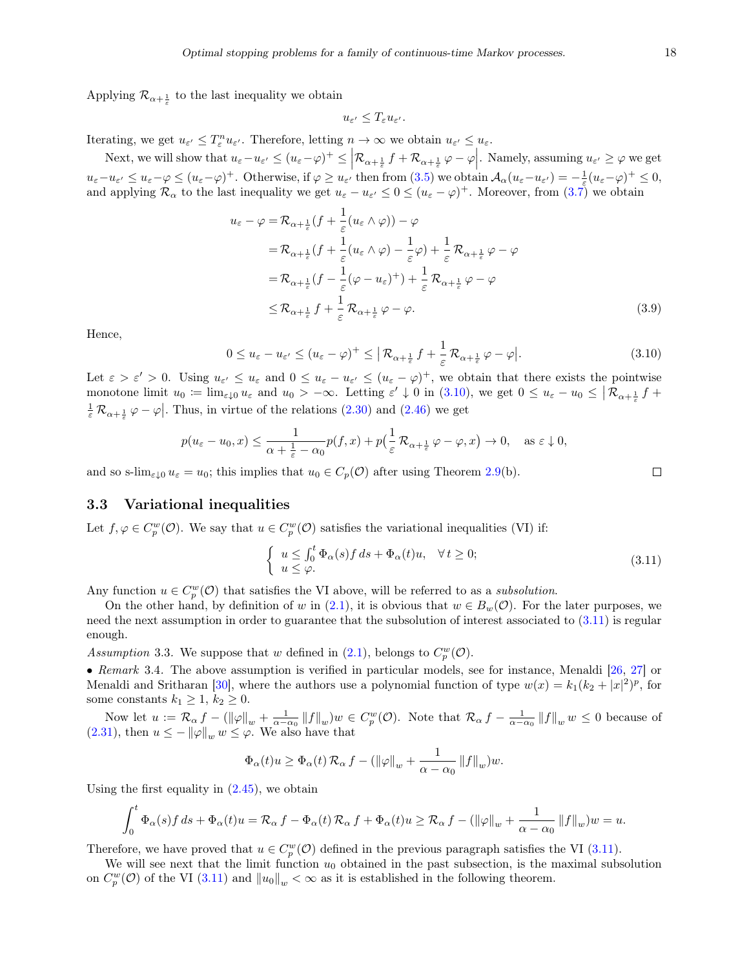Applying  $\mathcal{R}_{\alpha+\frac{1}{\varepsilon}}$  to the last inequality we obtain

$$
u_{\varepsilon'}\leq T_\varepsilon u_{\varepsilon'}.
$$

Iterating, we get  $u_{\varepsilon'} \leq T_{\varepsilon}^n u_{\varepsilon'}$ . Therefore, letting  $n \to \infty$  we obtain  $u_{\varepsilon'} \leq u_{\varepsilon}$ .

Next, we will show that  $u_{\varepsilon} - u_{\varepsilon'} \leq (u_{\varepsilon} - \varphi)^+ \leq \left| \mathcal{R}_{\alpha + \frac{1}{\varepsilon}} f + \mathcal{R}_{\alpha + \frac{1}{\varepsilon}} \varphi - \varphi \right|$ . Namely, assuming  $u_{\varepsilon'} \geq \varphi$  we get  $\overline{\phantom{a}}$  $u_{\varepsilon}-u_{\varepsilon'} \leq u_{\varepsilon}-\varphi \leq (u_{\varepsilon}-\varphi)^{+}$ . Otherwise, if  $\varphi \geq u_{\varepsilon'}$  then from  $(3.5)$  we obtain  $\mathcal{A}_{\alpha}(u_{\varepsilon}-u_{\varepsilon'})=-\frac{1}{\varepsilon}(u_{\varepsilon}-\varphi)^{+} \leq 0$ , and applying  $\mathcal{R}_{\alpha}$  to the last inequality we get  $u_{\varepsilon} - u_{\varepsilon'} \leq 0 \leq (u_{\varepsilon} - \varphi)^+$ . Moreover, from  $(3.7)$  we obtain

$$
u_{\varepsilon} - \varphi = \mathcal{R}_{\alpha + \frac{1}{\varepsilon}}(f + \frac{1}{\varepsilon}(u_{\varepsilon} \wedge \varphi)) - \varphi
$$
  
\n
$$
= \mathcal{R}_{\alpha + \frac{1}{\varepsilon}}(f + \frac{1}{\varepsilon}(u_{\varepsilon} \wedge \varphi) - \frac{1}{\varepsilon}\varphi) + \frac{1}{\varepsilon}\mathcal{R}_{\alpha + \frac{1}{\varepsilon}}\varphi - \varphi
$$
  
\n
$$
= \mathcal{R}_{\alpha + \frac{1}{\varepsilon}}(f - \frac{1}{\varepsilon}(\varphi - u_{\varepsilon})^{+}) + \frac{1}{\varepsilon}\mathcal{R}_{\alpha + \frac{1}{\varepsilon}}\varphi - \varphi
$$
  
\n
$$
\leq \mathcal{R}_{\alpha + \frac{1}{\varepsilon}}f + \frac{1}{\varepsilon}\mathcal{R}_{\alpha + \frac{1}{\varepsilon}}\varphi - \varphi.
$$
\n(3.9)

Hence,

<span id="page-18-0"></span>
$$
0 \le u_{\varepsilon} - u_{\varepsilon'} \le (u_{\varepsilon} - \varphi)^+ \le |\mathcal{R}_{\alpha + \frac{1}{\varepsilon}} f| + \frac{1}{\varepsilon} \mathcal{R}_{\alpha + \frac{1}{\varepsilon}} \varphi - \varphi|.
$$
\n(3.10)

Let  $\varepsilon > \varepsilon' > 0$ . Using  $u_{\varepsilon'} \le u_{\varepsilon}$  and  $0 \le u_{\varepsilon} - u_{\varepsilon'} \le (u_{\varepsilon} - \varphi)^+$ , we obtain that there exists the pointwise monotone limit  $u_0 := \lim_{\varepsilon \downarrow 0} u_{\varepsilon}$  and  $u_0 > -\infty$ . Letting  $\varepsilon' \downarrow 0$  in [\(3.10\)](#page-18-0), we get  $0 \le u_{\varepsilon} - u_0 \le |\mathcal{R}_{\alpha + \frac{1}{\varepsilon}} f +$  $\frac{1}{\varepsilon} \mathcal{R}_{\alpha + \frac{1}{\varepsilon}} \varphi - \varphi$ . Thus, in virtue of the relations [\(2.30\)](#page-9-1) and [\(2.46\)](#page-14-1) we get

$$
p(u_{\varepsilon}-u_0,x) \leq \frac{1}{\alpha+\frac{1}{\varepsilon}-\alpha_0}p(f,x)+p\left(\frac{1}{\varepsilon}\mathcal{R}_{\alpha+\frac{1}{\varepsilon}}\varphi-\varphi,x\right) \to 0, \quad \text{as } \varepsilon \downarrow 0,
$$

and so s-lim<sub> $\epsilon \downarrow 0$ </sub>  $u_{\epsilon} = u_0$ ; this implies that  $u_0 \in C_p(\mathcal{O})$  after using Theorem [2.9\(](#page-8-3)b).

#### 3.3 Variational inequalities

Let  $f, \varphi \in C_p^w(\mathcal{O})$ . We say that  $u \in C_p^w(\mathcal{O})$  satisfies the variational inequalities (VI) if:

<span id="page-18-1"></span>
$$
\begin{cases}\n u \leq \int_0^t \Phi_\alpha(s) f ds + \Phi_\alpha(t) u, & \forall t \geq 0; \\
 u \leq \varphi.\n\end{cases}
$$
\n(3.11)

Any function  $u \in C_p^w(\mathcal{O})$  that satisfies the VI above, will be referred to as a *subsolution*.

On the other hand, by definition of w in [\(2.1\)](#page-3-0), it is obvious that  $w \in B_w(\mathcal{O})$ . For the later purposes, we need the next assumption in order to guarantee that the subsolution of interest associated to [\(3.11\)](#page-18-1) is regular enough.

<span id="page-18-2"></span>Assumption 3.3. We suppose that w defined in [\(2.1\)](#page-3-0), belongs to  $C_p^w(\mathcal{O})$ .

• Remark 3.4. The above assumption is verified in particular models, see for instance, Menaldi [\[26,](#page-24-9) [27\]](#page-24-0) or Menaldi and Sritharan [\[30\]](#page-24-10), where the authors use a polynomial function of type  $w(x) = k_1(k_2 + |x|^2)^p$ , for some constants  $k_1 \geq 1, k_2 \geq 0$ .

Now let  $u := \mathcal{R}_{\alpha} f - (\|\varphi\|_w + \frac{1}{\alpha - \alpha_0} \|f\|_w)w \in C_p^w(\mathcal{O})$ . Note that  $\mathcal{R}_{\alpha} f - \frac{1}{\alpha - \alpha_0} \|f\|_w w \leq 0$  because of [\(2.31\)](#page-9-5), then  $u \leq -\|\varphi\|_{w} w \leq \varphi$ . We also have that

$$
\Phi_{\alpha}(t)u \ge \Phi_{\alpha}(t)\,\mathcal{R}_{\alpha}\,f - \left(\|\varphi\|_{w} + \frac{1}{\alpha - \alpha_{0}}\,\|f\|_{w}\right)w.
$$

Using the first equality in  $(2.45)$ , we obtain

$$
\int_0^t \Phi_\alpha(s) f\,ds + \Phi_\alpha(t)u = \mathcal{R}_\alpha f - \Phi_\alpha(t)\,\mathcal{R}_\alpha f + \Phi_\alpha(t)u \geq \mathcal{R}_\alpha f - (\|\varphi\|_w + \frac{1}{\alpha - \alpha_0} \|f\|_w)w = u.
$$

Therefore, we have proved that  $u \in C_p^w(\mathcal{O})$  defined in the previous paragraph satisfies the VI [\(3.11\)](#page-18-1).

We will see next that the limit function  $u_0$  obtained in the past subsection, is the maximal subsolution on  $C_p^w(\mathcal{O})$  of the VI [\(3.11\)](#page-18-1) and  $||u_0||_w < \infty$  as it is established in the following theorem.

<span id="page-18-3"></span> $\Box$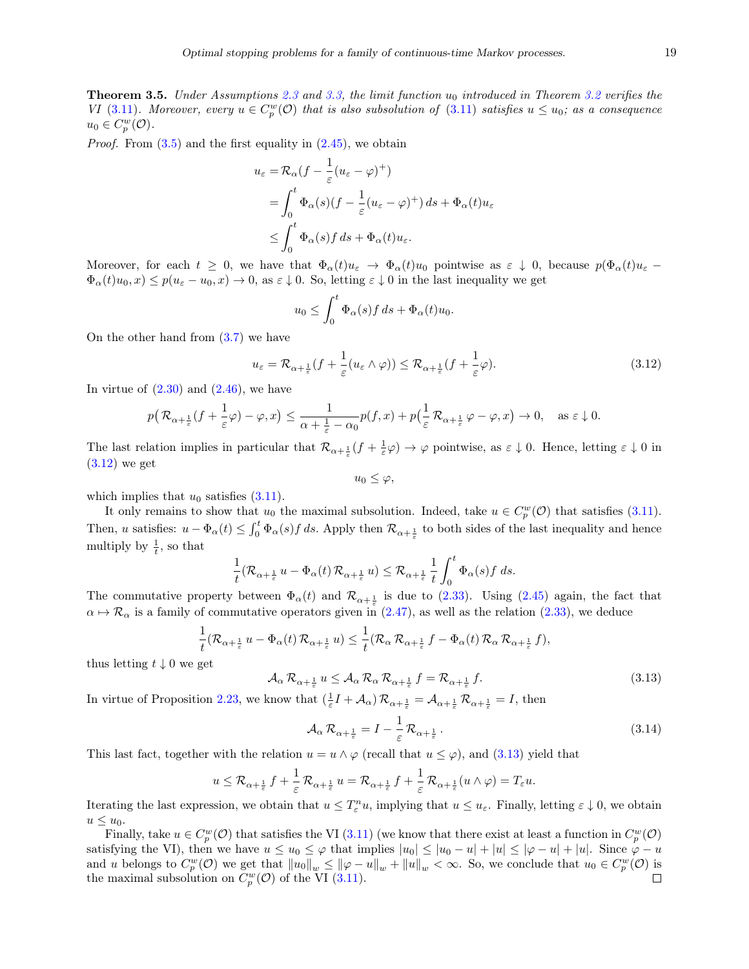<span id="page-19-2"></span>**Theorem 3.5.** Under Assumptions [2.3](#page-5-0) and [3.3,](#page-18-2) the limit function  $u_0$  introduced in Theorem [3.2](#page-17-3) verifies the VI [\(3.11\)](#page-18-1). Moreover, every  $u \in C_p^w(\mathcal{O})$  that is also subsolution of (3.11) satisfies  $u \leq u_0$ ; as a consequence  $u_0 \in C_p^w(\mathcal{O}).$ 

*Proof.* From  $(3.5)$  and the first equality in  $(2.45)$ , we obtain

$$
u_{\varepsilon} = \mathcal{R}_{\alpha} (f - \frac{1}{\varepsilon} (u_{\varepsilon} - \varphi)^+)
$$
  
= 
$$
\int_0^t \Phi_{\alpha}(s) (f - \frac{1}{\varepsilon} (u_{\varepsilon} - \varphi)^+) ds + \Phi_{\alpha}(t) u_{\varepsilon}
$$
  

$$
\leq \int_0^t \Phi_{\alpha}(s) f ds + \Phi_{\alpha}(t) u_{\varepsilon}.
$$

Moreover, for each  $t \geq 0$ , we have that  $\Phi_{\alpha}(t)u_{\varepsilon} \to \Phi_{\alpha}(t)u_0$  pointwise as  $\varepsilon \downarrow 0$ , because  $p(\Phi_{\alpha}(t)u_{\varepsilon} \Phi_{\alpha}(t)u_0, x \leq p(u_{\varepsilon}-u_0, x) \to 0$ , as  $\varepsilon \downarrow 0$ . So, letting  $\varepsilon \downarrow 0$  in the last inequality we get

$$
u_0 \le \int_0^t \Phi_\alpha(s) f \, ds + \Phi_\alpha(t) u_0.
$$

On the other hand from [\(3.7\)](#page-17-0) we have

<span id="page-19-0"></span>
$$
u_{\varepsilon} = \mathcal{R}_{\alpha + \frac{1}{\varepsilon}}(f + \frac{1}{\varepsilon}(u_{\varepsilon} \wedge \varphi)) \le \mathcal{R}_{\alpha + \frac{1}{\varepsilon}}(f + \frac{1}{\varepsilon}\varphi). \tag{3.12}
$$

In virtue of  $(2.30)$  and  $(2.46)$ , we have

$$
p(\mathcal{R}_{\alpha+\frac{1}{\varepsilon}}(f+\frac{1}{\varepsilon}\varphi)-\varphi,x)\leq \frac{1}{\alpha+\frac{1}{\varepsilon}-\alpha_0}p(f,x)+p(\frac{1}{\varepsilon}\mathcal{R}_{\alpha+\frac{1}{\varepsilon}}\varphi-\varphi,x)\to 0,\quad \text{as }\varepsilon\downarrow 0.
$$

The last relation implies in particular that  $\mathcal{R}_{\alpha+\frac{1}{\varepsilon}}(f+\frac{1}{\varepsilon}\varphi) \to \varphi$  pointwise, as  $\varepsilon \downarrow 0$ . Hence, letting  $\varepsilon \downarrow 0$  in  $(3.12)$  we get

 $u_0 \leq \varphi$ ,

which implies that  $u_0$  satisfies  $(3.11)$ .

It only remains to show that  $u_0$  the maximal subsolution. Indeed, take  $u \in C_p^w(\mathcal{O})$  that satisfies [\(3.11\)](#page-18-1). Then, u satisfies:  $u - \Phi_{\alpha}(t) \leq \int_0^t \Phi_{\alpha}(s) f ds$ . Apply then  $\mathcal{R}_{\alpha + \frac{1}{\varepsilon}}$  to both sides of the last inequality and hence multiply by  $\frac{1}{t}$ , so that

$$
\frac{1}{t} (\mathcal R_{\alpha+\frac{1}{\varepsilon}}\, u - \Phi_\alpha(t)\, \mathcal R_{\alpha+\frac{1}{\varepsilon}}\, u) \leq \mathcal R_{\alpha+\frac{1}{\varepsilon}}\, \frac{1}{t} \int_0^t \Phi_\alpha(s) f \; ds.
$$

The commutative property between  $\Phi_{\alpha}(t)$  and  $\mathcal{R}_{\alpha+\frac{1}{\varepsilon}}$  is due to [\(2.33\)](#page-9-6). Using [\(2.45\)](#page-14-2) again, the fact that  $\alpha \mapsto \mathcal{R}_{\alpha}$  is a family of commutative operators given in [\(2.47\)](#page-15-0), as well as the relation [\(2.33\)](#page-9-6), we deduce

$$
\frac{1}{t}(\mathcal{R}_{\alpha+\frac{1}{\varepsilon}}u - \Phi_\alpha(t)\,\mathcal{R}_{\alpha+\frac{1}{\varepsilon}}u) \leq \frac{1}{t}(\mathcal{R}_\alpha\,\mathcal{R}_{\alpha+\frac{1}{\varepsilon}}f - \Phi_\alpha(t)\,\mathcal{R}_\alpha\,\mathcal{R}_{\alpha+\frac{1}{\varepsilon}}f),
$$

thus letting  $t \downarrow 0$  we get

<span id="page-19-1"></span>
$$
\mathcal{A}_{\alpha} \mathcal{R}_{\alpha + \frac{1}{\varepsilon}} u \leq \mathcal{A}_{\alpha} \mathcal{R}_{\alpha} \mathcal{R}_{\alpha + \frac{1}{\varepsilon}} f = \mathcal{R}_{\alpha + \frac{1}{\varepsilon}} f. \tag{3.13}
$$

In virtue of Proposition [2.23,](#page-15-1) we know that  $(\frac{1}{\varepsilon}I + \mathcal{A}_{\alpha})\mathcal{R}_{\alpha + \frac{1}{\varepsilon}} = \mathcal{A}_{\alpha + \frac{1}{\varepsilon}}\mathcal{R}_{\alpha + \frac{1}{\varepsilon}} = I$ , then

<span id="page-19-3"></span>
$$
\mathcal{A}_{\alpha} \mathcal{R}_{\alpha + \frac{1}{\varepsilon}} = I - \frac{1}{\varepsilon} \mathcal{R}_{\alpha + \frac{1}{\varepsilon}}.
$$
\n(3.14)

This last fact, together with the relation  $u = u \wedge \varphi$  (recall that  $u \leq \varphi$ ), and [\(3.13\)](#page-19-1) yield that

$$
u \leq \mathcal{R}_{\alpha + \frac{1}{\varepsilon}} f + \frac{1}{\varepsilon} \mathcal{R}_{\alpha + \frac{1}{\varepsilon}} u = \mathcal{R}_{\alpha + \frac{1}{\varepsilon}} f + \frac{1}{\varepsilon} \mathcal{R}_{\alpha + \frac{1}{\varepsilon}} (u \wedge \varphi) = T_{\varepsilon} u.
$$

Iterating the last expression, we obtain that  $u \leq T_{\varepsilon}^{n} u$ , implying that  $u \leq u_{\varepsilon}$ . Finally, letting  $\varepsilon \downarrow 0$ , we obtain  $u \leq u_0$ .

Finally, take  $u \in C_p^w(\mathcal{O})$  that satisfies the VI [\(3.11\)](#page-18-1) (we know that there exist at least a function in  $C_p^w(\mathcal{O})$ satisfying the VI), then we have  $u \le u_0 \le \varphi$  that implies  $|u_0| \le |u_0 - u| + |u| \le |\varphi - u| + |u|$ . Since  $\varphi - u$ and u belongs to  $C_p^w(\mathcal{O})$  we get that  $||u_0||_w \le ||\varphi - u||_w + ||u||_w < \infty$ . So, we conclude that  $u_0 \in C_p^w(\mathcal{O})$  is the maximal subsolution on  $C_p^w(\mathcal{O})$  of the VI [\(3.11\)](#page-18-1).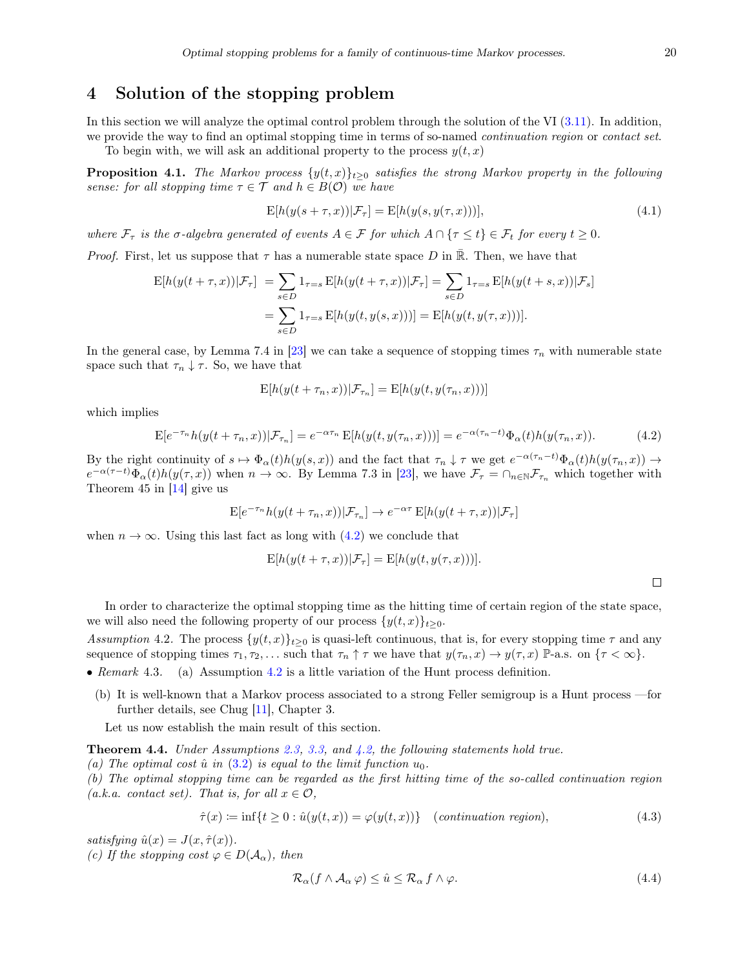## <span id="page-20-0"></span>4 Solution of the stopping problem

In this section we will analyze the optimal control problem through the solution of the VI [\(3.11\)](#page-18-1). In addition, we provide the way to find an optimal stopping time in terms of so-named *continuation region* or *contact set*.

To begin with, we will ask an additional property to the process  $y(t, x)$ 

**Proposition 4.1.** The Markov process  $\{y(t,x)\}_{t>0}$  satisfies the strong Markov property in the following sense: for all stopping time  $\tau \in \mathcal{T}$  and  $h \in B(\mathcal{O})$  we have

<span id="page-20-3"></span>
$$
E[h(y(s+\tau,x))|\mathcal{F}_\tau] = E[h(y(s,y(\tau,x)))],\tag{4.1}
$$

where  $\mathcal{F}_{\tau}$  is the  $\sigma$ -algebra generated of events  $A \in \mathcal{F}$  for which  $A \cap {\tau \leq t} \in \mathcal{F}_t$  for every  $t \geq 0$ .

*Proof.* First, let us suppose that  $\tau$  has a numerable state space D in  $\overline{\mathbb{R}}$ . Then, we have that

$$
\mathcal{E}[h(y(t+\tau,x))|\mathcal{F}_{\tau}] = \sum_{s \in D} 1_{\tau=s} \mathcal{E}[h(y(t+\tau,x))|\mathcal{F}_{\tau}] = \sum_{s \in D} 1_{\tau=s} \mathcal{E}[h(y(t+s,x))|\mathcal{F}_{s}]
$$

$$
= \sum_{s \in D} 1_{\tau=s} \mathcal{E}[h(y(t,y(s,x)))] = \mathcal{E}[h(y(t,y(\tau,x)))].
$$

In the general case, by Lemma 7.4 in [\[23\]](#page-24-17) we can take a sequence of stopping times  $\tau_n$  with numerable state space such that  $\tau_n \downarrow \tau$ . So, we have that

$$
E[h(y(t + \tau_n, x)) | \mathcal{F}_{\tau_n}] = E[h(y(t, y(\tau_n, x)))]
$$

which implies

<span id="page-20-1"></span>
$$
\mathbf{E}[e^{-\tau_n}h(y(t+\tau_n,x))|\mathcal{F}_{\tau_n}] = e^{-\alpha\tau_n}\mathbf{E}[h(y(t,y(\tau_n,x)))] = e^{-\alpha(\tau_n-t)}\Phi_\alpha(t)h(y(\tau_n,x)).\tag{4.2}
$$

By the right continuity of  $s \mapsto \Phi_{\alpha}(t)h(y(s, x))$  and the fact that  $\tau_n \downarrow \tau$  we get  $e^{-\alpha(\tau_n-t)}\Phi_{\alpha}(t)h(y(\tau_n, x)) \rightarrow$  $e^{-\alpha(\tau-t)}\Phi_\alpha(t)h(y(\tau,x))$  when  $n \to \infty$ . By Lemma 7.3 in [\[23\]](#page-24-17), we have  $\mathcal{F}_\tau = \cap_{n \in \mathbb{N}} \mathcal{F}_{\tau_n}$  which together with Theorem 45 in [\[14\]](#page-23-10) give us

$$
E[e^{-\tau_n}h(y(t+\tau_n,x))|\mathcal{F}_{\tau_n}] \to e^{-\alpha\tau}E[h(y(t+\tau,x))|\mathcal{F}_{\tau}]
$$

when  $n \to \infty$ . Using this last fact as long with [\(4.2\)](#page-20-1) we conclude that

$$
E[h(y(t+\tau,x))|\mathcal{F}_{\tau}] = E[h(y(t,y(\tau,x)))].
$$

 $\Box$ 

In order to characterize the optimal stopping time as the hitting time of certain region of the state space, we will also need the following property of our process  $\{y(t, x)\}_{t>0}$ .

<span id="page-20-2"></span>Assumption 4.2. The process  $\{y(t,x)\}_{t\geq 0}$  is quasi-left continuous, that is, for every stopping time  $\tau$  and any sequence of stopping times  $\tau_1, \tau_2, \ldots$  such that  $\tau_n \uparrow \tau$  we have that  $y(\tau_n, x) \to y(\tau, x)$  P-a.s. on  $\{\tau < \infty\}$ .

- Remark 4.3. (a) Assumption [4.2](#page-20-2) is a little variation of the Hunt process definition.
	- (b) It is well-known that a Markov process associated to a strong Feller semigroup is a Hunt process —for further details, see Chug [\[11\]](#page-23-12), Chapter 3.

Let us now establish the main result of this section.

Theorem 4.4. Under Assumptions [2.3,](#page-5-0) [3.3,](#page-18-2) and [4.2,](#page-20-2) the following statements hold true.

(a) The optimal cost  $\hat{u}$  in [\(3.2\)](#page-16-2) is equal to the limit function  $u_0$ .

(b) The optimal stopping time can be regarded as the first hitting time of the so-called continuation region (a.k.a. contact set). That is, for all  $x \in \mathcal{O}$ ,

<span id="page-20-4"></span>
$$
\hat{\tau}(x) \coloneqq \inf\{t \ge 0 : \hat{u}(y(t,x)) = \varphi(y(t,x))\} \quad (continuation \; region), \tag{4.3}
$$

satisfying  $\hat{u}(x) = J(x, \hat{\tau}(x))$ . (c) If the stopping cost  $\varphi \in D(A_\alpha)$ , then

$$
\mathcal{R}_{\alpha}(f \wedge \mathcal{A}_{\alpha} \varphi) \leq \hat{u} \leq \mathcal{R}_{\alpha} f \wedge \varphi. \tag{4.4}
$$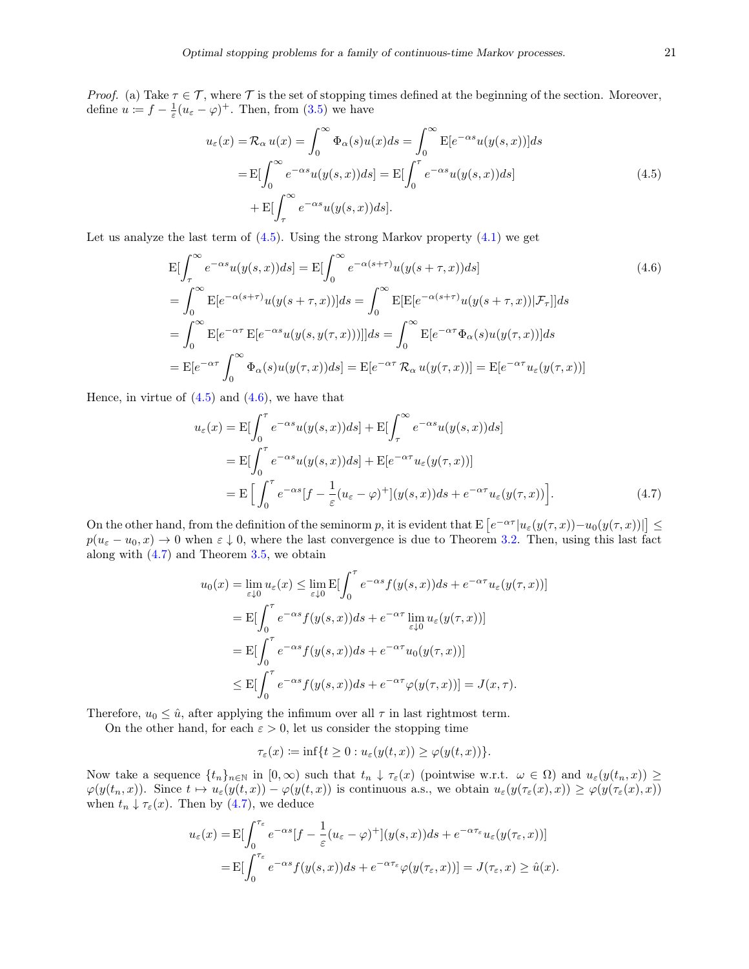*Proof.* (a) Take  $\tau \in \mathcal{T}$ , where  $\mathcal{T}$  is the set of stopping times defined at the beginning of the section. Moreover, define  $u := f - \frac{1}{\varepsilon} (u_{\varepsilon} - \varphi)^+$ . Then, from [\(3.5\)](#page-16-4) we have

<span id="page-21-1"></span><span id="page-21-0"></span>
$$
u_{\varepsilon}(x) = \mathcal{R}_{\alpha} u(x) = \int_0^{\infty} \Phi_{\alpha}(s)u(x)ds = \int_0^{\infty} \mathbf{E}[e^{-\alpha s}u(y(s, x))]ds
$$
  

$$
= \mathbf{E}[\int_0^{\infty} e^{-\alpha s}u(y(s, x))ds] = \mathbf{E}[\int_0^{\tau} e^{-\alpha s}u(y(s, x))ds]
$$
  

$$
+ \mathbf{E}[\int_{\tau}^{\infty} e^{-\alpha s}u(y(s, x))ds].
$$
 (4.5)

Let us analyze the last term of  $(4.5)$ . Using the strong Markov property  $(4.1)$  we get

$$
E\left[\int_{\tau}^{\infty} e^{-\alpha s} u(y(s, x)) ds\right] = E\left[\int_{0}^{\infty} e^{-\alpha(s+\tau)} u(y(s+\tau, x)) ds\right]
$$
(4.6)  

$$
= \int_{0}^{\infty} E[e^{-\alpha(s+\tau)} u(y(s+\tau, x))] ds = \int_{0}^{\infty} E[E[e^{-\alpha(s+\tau)} u(y(s+\tau, x)) | \mathcal{F}_{\tau}]] ds
$$
  

$$
= \int_{0}^{\infty} E[e^{-\alpha \tau} E[e^{-\alpha s} u(y(s, y(\tau, x)))]] ds = \int_{0}^{\infty} E[e^{-\alpha \tau} \Phi_{\alpha}(s) u(y(\tau, x))] ds
$$
  

$$
= E[e^{-\alpha \tau} \int_{0}^{\infty} \Phi_{\alpha}(s) u(y(\tau, x)) ds] = E[e^{-\alpha \tau} \mathcal{R}_{\alpha} u(y(\tau, x))] = E[e^{-\alpha \tau} u_{\varepsilon}(y(\tau, x))]
$$

Hence, in virtue of  $(4.5)$  and  $(4.6)$ , we have that

$$
u_{\varepsilon}(x) = \mathcal{E}[\int_0^{\tau} e^{-\alpha s} u(y(s, x)) ds] + \mathcal{E}[\int_{\tau}^{\infty} e^{-\alpha s} u(y(s, x)) ds]
$$
  
\n
$$
= \mathcal{E}[\int_0^{\tau} e^{-\alpha s} u(y(s, x)) ds] + \mathcal{E}[e^{-\alpha \tau} u_{\varepsilon}(y(\tau, x))]
$$
  
\n
$$
= \mathcal{E}[\int_0^{\tau} e^{-\alpha s} [f - \frac{1}{\varepsilon} (u_{\varepsilon} - \varphi)^+] (y(s, x)) ds + e^{-\alpha \tau} u_{\varepsilon}(y(\tau, x))].
$$
\n(4.7)

On the other hand, from the definition of the seminorm p, it is evident that  $E\left[e^{-\alpha\tau}|u_{\varepsilon}(y(\tau,x))-u_0(y(\tau,x))|\right]\leq$  $p(u_{\varepsilon}-u_0,x)\to 0$  when  $\varepsilon\downarrow 0$ , where the last convergence is due to Theorem [3.2.](#page-17-3) Then, using this last fact along with  $(4.7)$  and Theorem [3.5,](#page-19-2) we obtain

<span id="page-21-2"></span>
$$
u_0(x) = \lim_{\varepsilon \downarrow 0} u_\varepsilon(x) \le \lim_{\varepsilon \downarrow 0} \mathbb{E} \left[ \int_0^\tau e^{-\alpha s} f(y(s, x)) ds + e^{-\alpha \tau} u_\varepsilon(y(\tau, x)) \right]
$$
  
= 
$$
\mathbb{E} \left[ \int_0^\tau e^{-\alpha s} f(y(s, x)) ds + e^{-\alpha \tau} \lim_{\varepsilon \downarrow 0} u_\varepsilon(y(\tau, x)) \right]
$$
  
= 
$$
\mathbb{E} \left[ \int_0^\tau e^{-\alpha s} f(y(s, x)) ds + e^{-\alpha \tau} u_0(y(\tau, x)) \right]
$$
  

$$
\le \mathbb{E} \left[ \int_0^\tau e^{-\alpha s} f(y(s, x)) ds + e^{-\alpha \tau} \varphi(y(\tau, x)) \right] = J(x, \tau).
$$

Therefore,  $u_0 \leq \hat{u}$ , after applying the infimum over all  $\tau$  in last rightmost term.

On the other hand, for each  $\varepsilon > 0$ , let us consider the stopping time

$$
\tau_{\varepsilon}(x) \coloneqq \inf\{t \ge 0 : u_{\varepsilon}(y(t,x)) \ge \varphi(y(t,x))\}.
$$

Now take a sequence  $\{t_n\}_{n\in\mathbb{N}}$  in  $[0,\infty)$  such that  $t_n \downarrow \tau_{\varepsilon}(x)$  (pointwise w.r.t.  $\omega \in \Omega$ ) and  $u_{\varepsilon}(y(t_n,x)) \geq$  $\varphi(y(t_n, x))$ . Since  $t \mapsto u_\varepsilon(y(t, x)) - \varphi(y(t, x))$  is continuous a.s., we obtain  $u_\varepsilon(y(\tau_\varepsilon(x), x)) \geq \varphi(y(\tau_\varepsilon(x), x))$ when  $t_n \downarrow \tau_{\varepsilon}(x)$ . Then by [\(4.7\)](#page-21-2), we deduce

$$
u_{\varepsilon}(x) = \mathcal{E}[\int_0^{\tau_{\varepsilon}} e^{-\alpha s} [f - \frac{1}{\varepsilon} (u_{\varepsilon} - \varphi)^+] (y(s, x)) ds + e^{-\alpha \tau_{\varepsilon}} u_{\varepsilon}(y(\tau_{\varepsilon}, x))]
$$
  
= 
$$
\mathcal{E}[\int_0^{\tau_{\varepsilon}} e^{-\alpha s} f(y(s, x)) ds + e^{-\alpha \tau_{\varepsilon}} \varphi(y(\tau_{\varepsilon}, x))] = J(\tau_{\varepsilon}, x) \ge \hat{u}(x).
$$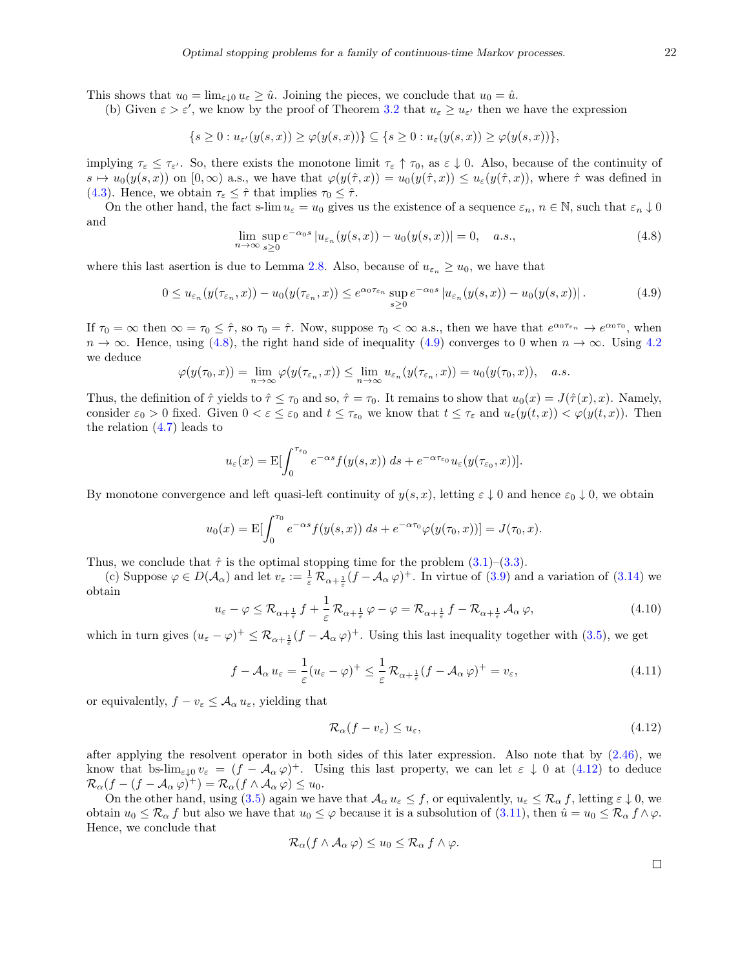This shows that  $u_0 = \lim_{\varepsilon \downarrow 0} u_{\varepsilon} \geq \hat{u}$ . Joining the pieces, we conclude that  $u_0 = \hat{u}$ .

(b) Given  $\varepsilon > \varepsilon'$ , we know by the proof of Theorem [3.2](#page-17-3) that  $u_{\varepsilon} \geq u_{\varepsilon'}$  then we have the expression

$$
\{s\geq 0: u_{\varepsilon'}(y(s,x))\geq \varphi(y(s,x))\}\subseteq \{s\geq 0: u_{\varepsilon}(y(s,x))\geq \varphi(y(s,x))\},
$$

implying  $\tau_{\varepsilon} \leq \tau_{\varepsilon'}$ . So, there exists the monotone limit  $\tau_{\varepsilon} \uparrow \tau_0$ , as  $\varepsilon \downarrow 0$ . Also, because of the continuity of  $s \mapsto u_0(y(s, x))$  on  $[0, \infty)$  a.s., we have that  $\varphi(y(\hat{\tau}, x)) = u_0(y(\hat{\tau}, x)) \leq u_\varepsilon(y(\hat{\tau}, x))$ , where  $\hat{\tau}$  was defined in [\(4.3\)](#page-20-4). Hence, we obtain  $\tau_{\varepsilon} \leq \hat{\tau}$  that implies  $\tau_0 \leq \hat{\tau}$ .

On the other hand, the fact s-lim  $u_{\varepsilon} = u_0$  gives us the existence of a sequence  $\varepsilon_n$ ,  $n \in \mathbb{N}$ , such that  $\varepsilon_n \downarrow 0$ and

<span id="page-22-0"></span>
$$
\lim_{n \to \infty} \sup_{s \ge 0} e^{-\alpha_0 s} |u_{\varepsilon_n}(y(s, x)) - u_0(y(s, x))| = 0, \quad a.s., \tag{4.8}
$$

where this last asertion is due to Lemma [2.8.](#page-8-0) Also, because of  $u_{\varepsilon_n} \ge u_0$ , we have that

<span id="page-22-1"></span>
$$
0 \le u_{\varepsilon_n}(y(\tau_{\varepsilon_n},x)) - u_0(y(\tau_{\varepsilon_n},x)) \le e^{\alpha_0 \tau_{\varepsilon_n}} \sup_{s \ge 0} e^{-\alpha_0 s} |u_{\varepsilon_n}(y(s,x)) - u_0(y(s,x))|.
$$
 (4.9)

If  $\tau_0 = \infty$  then  $\infty = \tau_0 \leq \hat{\tau}$ , so  $\tau_0 = \hat{\tau}$ . Now, suppose  $\tau_0 < \infty$  a.s., then we have that  $e^{\alpha_0 \tau_{\varepsilon_n}} \to e^{\alpha_0 \tau_0}$ , when  $n \to \infty$ . Hence, using [\(4.8\)](#page-22-0), the right hand side of inequality [\(4.9\)](#page-22-1) converges to 0 when  $n \to \infty$ . Using [4.2](#page-20-2) we deduce

$$
\varphi(y(\tau_0, x)) = \lim_{n \to \infty} \varphi(y(\tau_{\varepsilon_n}, x)) \le \lim_{n \to \infty} u_{\varepsilon_n}(y(\tau_{\varepsilon_n}, x)) = u_0(y(\tau_0, x)), \quad a.s.
$$

Thus, the definition of  $\hat{\tau}$  yields to  $\hat{\tau} \leq \tau_0$  and so,  $\hat{\tau} = \tau_0$ . It remains to show that  $u_0(x) = J(\hat{\tau}(x), x)$ . Namely, consider  $\varepsilon_0 > 0$  fixed. Given  $0 < \varepsilon \leq \varepsilon_0$  and  $t \leq \tau_{\varepsilon_0}$  we know that  $t \leq \tau_{\varepsilon}$  and  $u_{\varepsilon}(y(t,x)) < \varphi(y(t,x))$ . Then the relation  $(4.7)$  leads to

$$
u_{\varepsilon}(x) = \mathbf{E}[\int_0^{\tau_{\varepsilon_0}} e^{-\alpha s} f(y(s, x)) ds + e^{-\alpha \tau_{\varepsilon_0}} u_{\varepsilon}(y(\tau_{\varepsilon_0}, x))].
$$

By monotone convergence and left quasi-left continuity of  $y(s, x)$ , letting  $\varepsilon \downarrow 0$  and hence  $\varepsilon_0 \downarrow 0$ , we obtain

$$
u_0(x) = \mathbb{E}[\int_0^{\tau_0} e^{-\alpha s} f(y(s, x)) ds + e^{-\alpha \tau_0} \varphi(y(\tau_0, x))] = J(\tau_0, x).
$$

Thus, we conclude that  $\hat{\tau}$  is the optimal stopping time for the problem [\(3.1\)](#page-16-1)–[\(3.3\)](#page-16-6).

(c) Suppose  $\varphi \in D(\mathcal{A}_{\alpha})$  and let  $v_{\varepsilon} := \frac{1}{\varepsilon} \mathcal{R}_{\alpha + \frac{1}{\varepsilon}} (f - \mathcal{A}_{\alpha} \varphi)^+$ . In virtue of [\(3.9\)](#page-18-3) and a variation of [\(3.14\)](#page-19-3) we obtain

$$
u_{\varepsilon} - \varphi \leq \mathcal{R}_{\alpha + \frac{1}{\varepsilon}} f + \frac{1}{\varepsilon} \mathcal{R}_{\alpha + \frac{1}{\varepsilon}} \varphi - \varphi = \mathcal{R}_{\alpha + \frac{1}{\varepsilon}} f - \mathcal{R}_{\alpha + \frac{1}{\varepsilon}} \mathcal{A}_{\alpha} \varphi,
$$
(4.10)

which in turn gives  $(u_{\varepsilon} - \varphi)^+ \leq \mathcal{R}_{\alpha + \frac{1}{\varepsilon}}(f - \mathcal{A}_{\alpha} \varphi)^+$ . Using this last inequality together with [\(3.5\)](#page-16-4), we get

$$
f - \mathcal{A}_{\alpha} u_{\varepsilon} = \frac{1}{\varepsilon} (u_{\varepsilon} - \varphi)^+ \le \frac{1}{\varepsilon} \mathcal{R}_{\alpha + \frac{1}{\varepsilon}} (f - \mathcal{A}_{\alpha} \varphi)^+ = v_{\varepsilon}, \tag{4.11}
$$

or equivalently,  $f - v_{\varepsilon} \leq A_{\alpha} u_{\varepsilon}$ , yielding that

<span id="page-22-2"></span>
$$
\mathcal{R}_{\alpha}(f - v_{\varepsilon}) \le u_{\varepsilon},\tag{4.12}
$$

after applying the resolvent operator in both sides of this later expression. Also note that by [\(2.46\)](#page-14-1), we know that bs- $\lim_{\varepsilon\downarrow 0}v_{\varepsilon} = (f - \mathcal{A}_{\alpha}\varphi)^{+}$ . Using this last property, we can let  $\varepsilon \downarrow 0$  at  $(4.12)$  to deduce  $\mathcal{R}_{\alpha}(f - (f - \mathcal{A}_{\alpha} \varphi)^+) = \mathcal{R}_{\alpha}(f \wedge \mathcal{A}_{\alpha} \varphi) \leq u_0.$ 

On the other hand, using [\(3.5\)](#page-16-4) again we have that  $\mathcal{A}_{\alpha} u_{\varepsilon} \leq f$ , or equivalently,  $u_{\varepsilon} \leq \mathcal{R}_{\alpha} f$ , letting  $\varepsilon \downarrow 0$ , we obtain  $u_0 \leq \mathcal{R}_\alpha f$  but also we have that  $u_0 \leq \varphi$  because it is a subsolution of [\(3.11\)](#page-18-1), then  $\hat{u} = u_0 \leq \mathcal{R}_\alpha f \wedge \varphi$ . Hence, we conclude that

$$
\mathcal{R}_{\alpha}(f \wedge \mathcal{A}_{\alpha} \varphi) \leq u_0 \leq \mathcal{R}_{\alpha} f \wedge \varphi.
$$

 $\Box$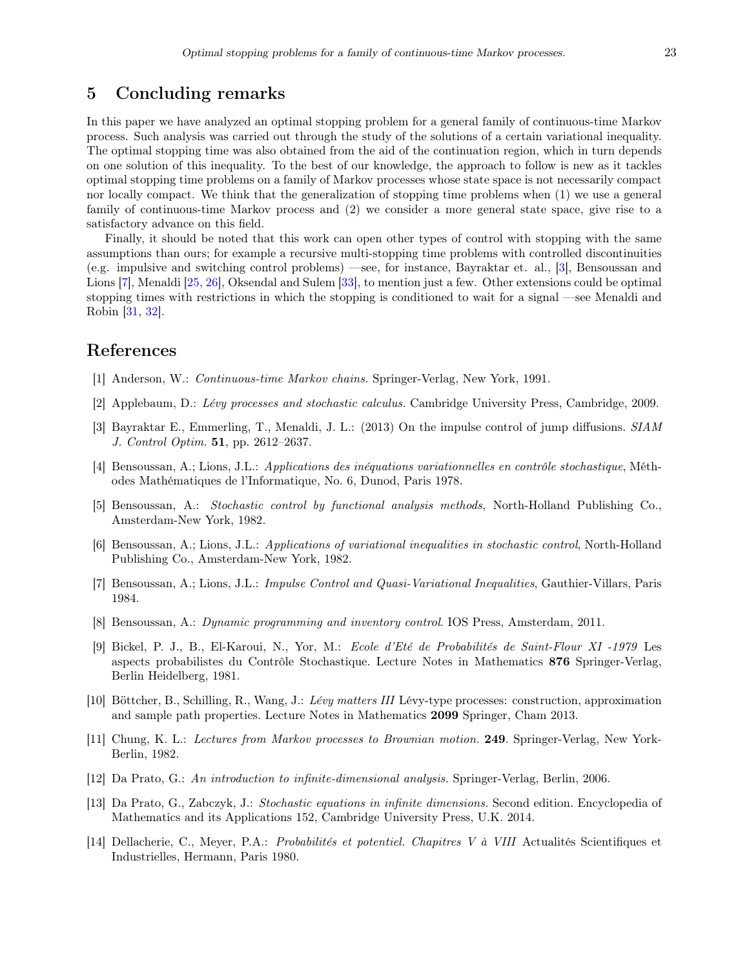## <span id="page-23-5"></span>5 Concluding remarks

In this paper we have analyzed an optimal stopping problem for a general family of continuous-time Markov process. Such analysis was carried out through the study of the solutions of a certain variational inequality. The optimal stopping time was also obtained from the aid of the continuation region, which in turn depends on one solution of this inequality. To the best of our knowledge, the approach to follow is new as it tackles optimal stopping time problems on a family of Markov processes whose state space is not necessarily compact nor locally compact. We think that the generalization of stopping time problems when (1) we use a general family of continuous-time Markov process and (2) we consider a more general state space, give rise to a satisfactory advance on this field.

Finally, it should be noted that this work can open other types of control with stopping with the same assumptions than ours; for example a recursive multi-stopping time problems with controlled discontinuities (e.g. impulsive and switching control problems) —see, for instance, Bayraktar et. al., [\[3\]](#page-23-13), Bensoussan and Lions [\[7\]](#page-23-14), Menaldi [\[25,](#page-24-6) [26\]](#page-24-9), Oksendal and Sulem [\[33\]](#page-24-7), to mention just a few. Other extensions could be optimal stopping times with restrictions in which the stopping is conditioned to wait for a signal —see Menaldi and Robin [\[31,](#page-24-18) [32\]](#page-24-19).

## References

- <span id="page-23-8"></span>[1] Anderson, W.: Continuous-time Markov chains. Springer-Verlag, New York, 1991.
- <span id="page-23-9"></span>[2] Applebaum, D.: Lévy processes and stochastic calculus. Cambridge University Press, Cambridge, 2009.
- <span id="page-23-13"></span>[3] Bayraktar E., Emmerling, T., Menaldi, J. L.: (2013) On the impulse control of jump diffusions. SIAM J. Control Optim. 51, pp. 2612–2637.
- <span id="page-23-1"></span>[4] Bensoussan, A.; Lions, J.L.: Applications des inéquations variationnelles en contrôle stochastique, Méthodes Mathématiques de l'Informatique, No. 6, Dunod, Paris 1978.
- <span id="page-23-3"></span>[5] Bensoussan, A.: Stochastic control by functional analysis methods, North-Holland Publishing Co., Amsterdam-New York, 1982.
- <span id="page-23-2"></span>[6] Bensoussan, A.; Lions, J.L.: Applications of variational inequalities in stochastic control, North-Holland Publishing Co., Amsterdam-New York, 1982.
- <span id="page-23-14"></span>[7] Bensoussan, A.; Lions, J.L.: Impulse Control and Quasi-Variational Inequalities, Gauthier-Villars, Paris 1984.
- <span id="page-23-4"></span>[8] Bensoussan, A.: Dynamic programming and inventory control. IOS Press, Amsterdam, 2011.
- <span id="page-23-0"></span>[9] Bickel, P. J., B., El-Karoui, N., Yor, M.: Ecole d'Eté de Probabilités de Saint-Flour XI -1979 Les aspects probabilistes du Contrôle Stochastique. Lecture Notes in Mathematics 876 Springer-Verlag, Berlin Heidelberg, 1981.
- <span id="page-23-11"></span>[10] Böttcher, B., Schilling, R., Wang, J.: Lévy matters III Lévy-type processes: construction, approximation and sample path properties. Lecture Notes in Mathematics 2099 Springer, Cham 2013.
- <span id="page-23-12"></span>[11] Chung, K. L.: Lectures from Markov processes to Brownian motion. 249. Springer-Verlag, New York-Berlin, 1982.
- <span id="page-23-6"></span>[12] Da Prato, G.: An introduction to infinite-dimensional analysis. Springer-Verlag, Berlin, 2006.
- <span id="page-23-7"></span>[13] Da Prato, G., Zabczyk, J.: Stochastic equations in infinite dimensions. Second edition. Encyclopedia of Mathematics and its Applications 152, Cambridge University Press, U.K. 2014.
- <span id="page-23-10"></span>[14] Dellacherie, C., Meyer, P.A.: Probabilités et potentiel. Chapitres V à VIII Actualités Scientifiques et Industrielles, Hermann, Paris 1980.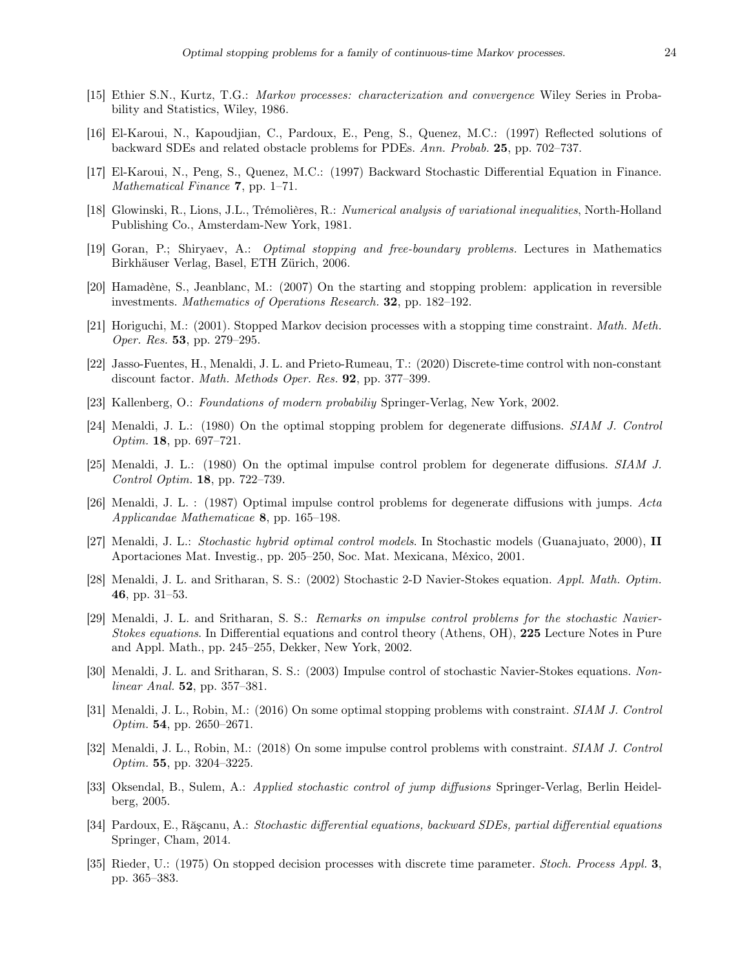- <span id="page-24-16"></span>[15] Ethier S.N., Kurtz, T.G.: Markov processes: characterization and convergence Wiley Series in Probability and Statistics, Wiley, 1986.
- <span id="page-24-1"></span>[16] El-Karoui, N., Kapoudjian, C., Pardoux, E., Peng, S., Quenez, M.C.: (1997) Reflected solutions of backward SDEs and related obstacle problems for PDEs. Ann. Probab. 25, pp. 702–737.
- <span id="page-24-2"></span>[17] El-Karoui, N., Peng, S., Quenez, M.C.: (1997) Backward Stochastic Differential Equation in Finance. Mathematical Finance 7, pp. 1–71.
- <span id="page-24-8"></span>[18] Glowinski, R., Lions, J.L., Trémolières, R.: Numerical analysis of variational inequalities, North-Holland Publishing Co., Amsterdam-New York, 1981.
- <span id="page-24-3"></span>[19] Goran, P.; Shiryaev, A.: Optimal stopping and free-boundary problems. Lectures in Mathematics Birkhäuser Verlag, Basel, ETH Zürich, 2006.
- <span id="page-24-4"></span>[20] Hamadène, S., Jeanblanc, M.: (2007) On the starting and stopping problem: application in reversible investments. Mathematics of Operations Research. 32, pp. 182–192.
- <span id="page-24-12"></span>[21] Horiguchi, M.: (2001). Stopped Markov decision processes with a stopping time constraint. Math. Meth. Oper. Res. 53, pp. 279–295.
- <span id="page-24-13"></span>[22] Jasso-Fuentes, H., Menaldi, J. L. and Prieto-Rumeau, T.: (2020) Discrete-time control with non-constant discount factor. Math. Methods Oper. Res. 92, pp. 377-399.
- <span id="page-24-17"></span>[23] Kallenberg, O.: Foundations of modern probabiliy Springer-Verlag, New York, 2002.
- <span id="page-24-5"></span>[24] Menaldi, J. L.: (1980) On the optimal stopping problem for degenerate diffusions. SIAM J. Control Optim. 18, pp. 697–721.
- <span id="page-24-6"></span>[25] Menaldi, J. L.: (1980) On the optimal impulse control problem for degenerate diffusions. SIAM J. Control Optim. 18, pp. 722–739.
- <span id="page-24-9"></span>[26] Menaldi, J. L. : (1987) Optimal impulse control problems for degenerate diffusions with jumps. Acta Applicandae Mathematicae 8, pp. 165–198.
- <span id="page-24-0"></span>[27] Menaldi, J. L.: Stochastic hybrid optimal control models. In Stochastic models (Guanajuato, 2000), II Aportaciones Mat. Investig., pp. 205–250, Soc. Mat. Mexicana, México, 2001.
- <span id="page-24-14"></span>[28] Menaldi, J. L. and Sritharan, S. S.: (2002) Stochastic 2-D Navier-Stokes equation. Appl. Math. Optim. 46, pp. 31–53.
- <span id="page-24-15"></span>[29] Menaldi, J. L. and Sritharan, S. S.: Remarks on impulse control problems for the stochastic Navier-Stokes equations. In Differential equations and control theory (Athens, OH), 225 Lecture Notes in Pure and Appl. Math., pp. 245–255, Dekker, New York, 2002.
- <span id="page-24-10"></span>[30] Menaldi, J. L. and Sritharan, S. S.: (2003) Impulse control of stochastic Navier-Stokes equations. Non*linear Anal.* **52**, pp. 357–381.
- <span id="page-24-18"></span>[31] Menaldi, J. L., Robin, M.: (2016) On some optimal stopping problems with constraint. SIAM J. Control Optim. 54, pp. 2650–2671.
- <span id="page-24-19"></span>[32] Menaldi, J. L., Robin, M.: (2018) On some impulse control problems with constraint. SIAM J. Control Optim. 55, pp. 3204–3225.
- <span id="page-24-7"></span>[33] Oksendal, B., Sulem, A.: Applied stochastic control of jump diffusions Springer-Verlag, Berlin Heidelberg, 2005.
- [34] Pardoux, E., Răşcanu, A.: Stochastic differential equations, backward SDEs, partial differential equations Springer, Cham, 2014.
- <span id="page-24-11"></span>[35] Rieder, U.: (1975) On stopped decision processes with discrete time parameter. Stoch. Process Appl. 3, pp. 365–383.